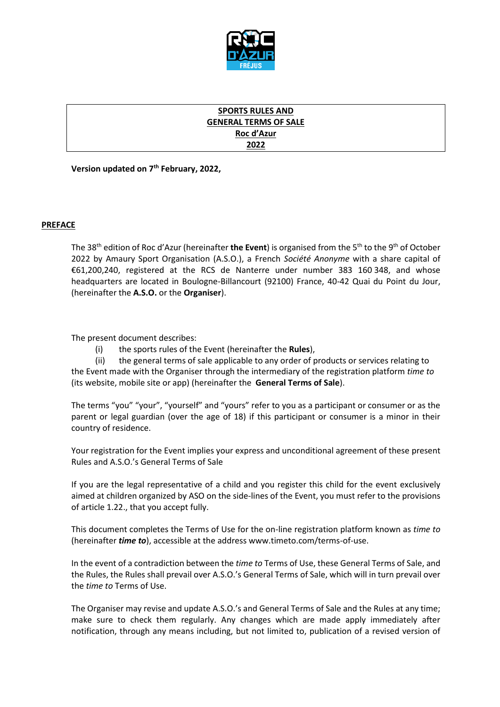

# **SPORTS RULES AND GENERAL TERMS OF SALE Roc d'Azur 2022**

**Version updated on 7 th February, 2022,** 

# **PREFACE**

The 38<sup>th</sup> edition of Roc d'Azur (hereinafter **the Event**) is organised from the 5<sup>th</sup> to the 9<sup>th</sup> of October 2022 by Amaury Sport Organisation (A.S.O.), a French *Société Anonyme* with a share capital of €61,200,240, registered at the RCS de Nanterre under number 383 160 348, and whose headquarters are located in Boulogne-Billancourt (92100) France, 40-42 Quai du Point du Jour, (hereinafter the **A.S.O.** or the **Organiser**).

The present document describes:

(i) the sports rules of the Event (hereinafter the **Rules**),

(ii) the general terms of sale applicable to any order of products or services relating to the Event made with the Organiser through the intermediary of the registration platform *time to* (its website, mobile site or app) (hereinafter the **General Terms of Sale**).

The terms "you" "your", "yourself" and "yours" refer to you as a participant or consumer or as the parent or legal guardian (over the age of 18) if this participant or consumer is a minor in their country of residence.

Your registration for the Event implies your express and unconditional agreement of these present Rules and A.S.O.'s General Terms of Sale

If you are the legal representative of a child and you register this child for the event exclusively aimed at children organized by ASO on the side-lines of the Event, you must refer to the provisions of article 1.22., that you accept fully.

This document completes the Terms of Use for the on-line registration platform known as *time to* (hereinafter *time to*), accessible at the address www.timeto.com/terms-of-use.

In the event of a contradiction between the *time to* Terms of Use, these General Terms of Sale, and the Rules, the Rules shall prevail over A.S.O.'s General Terms of Sale, which will in turn prevail over the *time to* Terms of Use.

The Organiser may revise and update A.S.O.'s and General Terms of Sale and the Rules at any time; make sure to check them regularly. Any changes which are made apply immediately after notification, through any means including, but not limited to, publication of a revised version of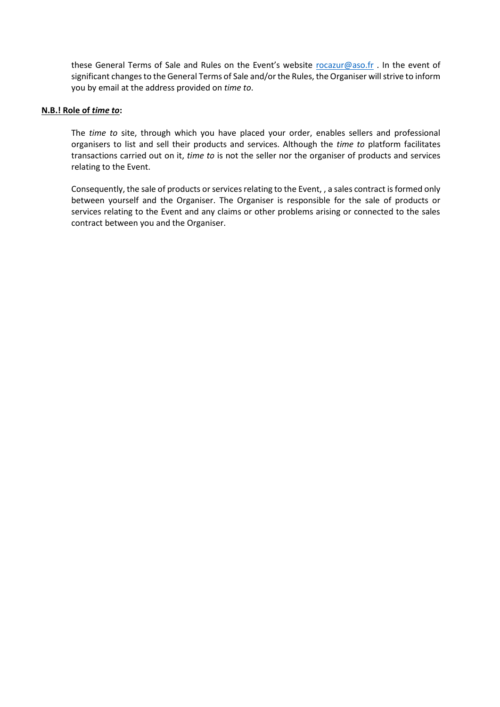these General Terms of Sale and Rules on the Event's website [rocazur@aso.fr](mailto:rocazur@aso.fr) . In the event of significant changes to the General Terms of Sale and/or the Rules, the Organiser will strive to inform you by email at the address provided on *time to*.

## **N.B.! Role of** *time to***:**

The *time to* site, through which you have placed your order, enables sellers and professional organisers to list and sell their products and services. Although the *time to* platform facilitates transactions carried out on it, *time to* is not the seller nor the organiser of products and services relating to the Event.

Consequently, the sale of products or services relating to the Event, , a sales contract is formed only between yourself and the Organiser. The Organiser is responsible for the sale of products or services relating to the Event and any claims or other problems arising or connected to the sales contract between you and the Organiser.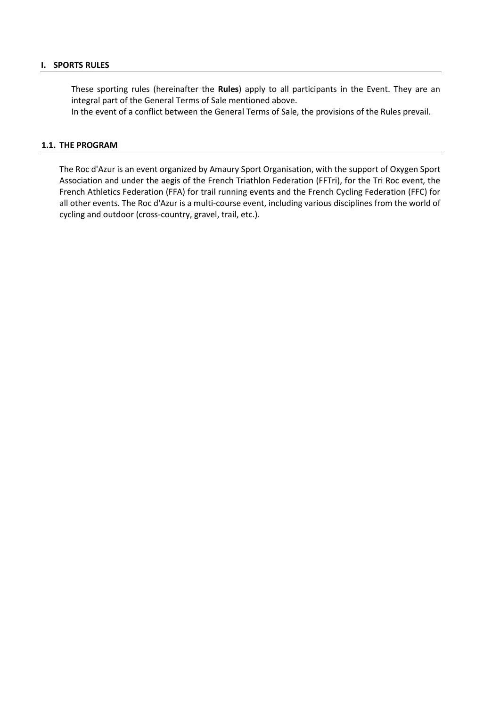### **I. SPORTS RULES**

These sporting rules (hereinafter the **Rules**) apply to all participants in the Event. They are an integral part of the General Terms of Sale mentioned above.

In the event of a conflict between the General Terms of Sale, the provisions of the Rules prevail.

#### **1.1. THE PROGRAM**

The Roc d'Azur is an event organized by Amaury Sport Organisation, with the support of Oxygen Sport Association and under the aegis of the French Triathlon Federation (FFTri), for the Tri Roc event, the French Athletics Federation (FFA) for trail running events and the French Cycling Federation (FFC) for all other events. The Roc d'Azur is a multi-course event, including various disciplines from the world of cycling and outdoor (cross-country, gravel, trail, etc.).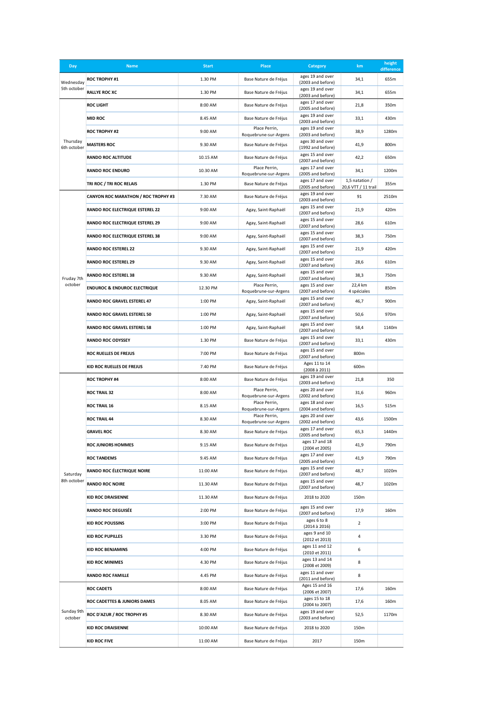| Day                      | <b>Name</b>                                | <b>Start</b> | <b>Place</b>                                   | Category                                                   | km                                      | height<br>difference |
|--------------------------|--------------------------------------------|--------------|------------------------------------------------|------------------------------------------------------------|-----------------------------------------|----------------------|
| Wednesday<br>5th october | <b>ROC TROPHY #1</b>                       | 1.30 PM      | Base Nature de Fréjus                          | ages 19 and over<br>(2003 and before)                      | 34,1                                    | 655m                 |
|                          | <b>RALLYE ROC XC</b>                       | 1.30 PM      | Base Nature de Fréjus                          | ages 19 and over<br>(2003 and before)                      | 34,1                                    | 655m                 |
|                          | <b>ROC LIGHT</b>                           | 8:00 AM      | Base Nature de Fréjus                          | ages 17 and over<br>(2005 and before)                      | 21,8                                    | 350m                 |
|                          | <b>MID ROC</b>                             | 8.45 AM      | Base Nature de Fréjus                          | ages 19 and over<br>(2003 and before)                      | 33,1                                    | 430m                 |
|                          | <b>ROC TROPHY #2</b>                       | 9:00 AM      | Place Perrin,<br>Roquebrune-sur-Argens         | ages 19 and over<br>(2003 and before)                      | 38,9                                    | 1280m                |
| Thursday<br>6th october  | <b>MASTERS ROC</b>                         | 9.30 AM      | Base Nature de Fréjus                          | ages 30 and over<br>(1992 and before)                      | 41,9                                    | 800m                 |
|                          | <b>RANDO ROC ALTITUDE</b>                  | 10.15 AM     | Base Nature de Fréjus                          | ages 15 and over<br>(2007 and before)                      | 42,2                                    | 650m                 |
|                          | <b>RANDO ROC ENDURO</b>                    | 10.30 AM     | Place Perrin,<br>Roquebrune-sur-Argens         | ages 17 and over<br>(2005 and before)                      | 34,1                                    | 1200m                |
|                          | TRI ROC / TRI ROC RELAIS                   | 1.30 PM      | Base Nature de Fréjus                          | ages 17 and over<br>(2005 and before)                      | 1,5 natation $/$<br>20,6 VTT / 11 trail | 355m                 |
|                          | <b>CANYON ROC MARATHON / ROC TROPHY #3</b> | 7.30 AM      | Base Nature de Fréjus                          | ages 19 and over<br>(2003 and before)                      | 91                                      | 2510m                |
|                          | RANDO ROC ELECTRIQUE ESTEREL 22            | 9:00 AM      | Agay, Saint-Raphaël                            | ages 15 and over<br>(2007 and before)                      | 21,9                                    | 420m                 |
|                          | RANDO ROC ELECTRIQUE ESTEREL 29            | 9:00 AM      | Agay, Saint-Raphaël                            | ages 15 and over<br>(2007 and before)                      | 28,6                                    | 610m                 |
|                          | RANDO ROC ELECTRIQUE ESTEREL 38            | 9:00 AM      | Agay, Saint-Raphaël                            | ages 15 and over<br>(2007 and before)                      | 38,3                                    | 750m                 |
|                          | <b>RANDO ROC ESTEREL 22</b>                | 9.30 AM      | ages 15 and over<br>Agay, Saint-Raphaël        |                                                            | 21,9                                    | 420m                 |
|                          | <b>RANDO ROC ESTEREL 29</b>                | 9.30 AM      | Agay, Saint-Raphaël                            | (2007 and before)<br>ages 15 and over<br>(2007 and before) | 28,6                                    | 610m                 |
| Fruday 7th               | <b>RANDO ROC ESTEREL 38</b>                | 9.30 AM      | Agay, Saint-Raphaël                            | ages 15 and over<br>(2007 and before)                      | 38,3                                    | 750m                 |
| october                  | <b>ENDUROC &amp; ENDUROC ELECTRIQUE</b>    | 12.30 PM     | Place Perrin,                                  | ages 15 and over<br>(2007 and before)                      | 22,4 km<br>4 spéciales                  | 850m                 |
|                          | RANDO ROC GRAVEL ESTEREL 47                | 1:00 PM      | Roquebrune-sur-Argens<br>Agay, Saint-Raphaël   | ages 15 and over                                           | 46,7                                    | 900m                 |
|                          | RANDO ROC GRAVEL ESTEREL 50                | 1:00 PM      | Agay, Saint-Raphaël                            | (2007 and before)<br>ages 15 and over                      | 50,6                                    | 970m                 |
|                          | RANDO ROC GRAVEL ESTEREL 58                | 1:00 PM      | Agay, Saint-Raphaël                            | (2007 and before)<br>ages 15 and over                      | 58,4                                    | 1140m                |
|                          | <b>RANDO ROC ODYSSEY</b>                   | 1.30 PM      | Base Nature de Fréjus                          | (2007 and before)<br>ages 15 and over                      | 33,1                                    | 430m                 |
|                          | ROC RUELLES DE FREJUS                      | 7:00 PM      | Base Nature de Fréjus                          | (2007 and before)<br>ages 15 and over                      | 800m                                    |                      |
|                          | KID ROC RUELLES DE FREJUS                  | 7.40 PM      | Base Nature de Fréjus                          | (2007 and before)<br>Ages 11 to 14                         | 600m                                    |                      |
|                          | <b>ROC TROPHY #4</b>                       | 8:00 AM      | Base Nature de Fréjus                          | (2008 à 2011)<br>ages 19 and over                          | 21,8                                    | 350                  |
|                          | <b>ROC TRAIL 32</b>                        | 8:00 AM      | Place Perrin,                                  | (2003 and before)<br>ages 20 and over                      | 31,6                                    | 960m                 |
|                          | <b>ROC TRAIL 16</b>                        | 8.15 AM      | Roquebrune-sur-Argens<br>Place Perrin,         | (2002 and before)<br>ages 18 and over                      | 16,5                                    | 515m                 |
|                          | <b>ROC TRAIL 44</b>                        | 8.30 AM      | Roquebrune-sur-Argens<br>Place Perrin,         | (2004 and before)<br>ages 20 and over                      | 43,6                                    | 1500m                |
|                          | <b>GRAVEL ROC</b>                          | 8.30 AM      | Roquebrune-sur-Argens<br>Base Nature de Fréjus | (2002 and before)<br>ages 17 and over                      | 65,3                                    | 1440m                |
|                          | <b>ROC JUNIORS HOMMES</b>                  | 9.15 AM      | Base Nature de Fréjus                          | (2005 and before)<br>ages 17 and 18                        | 41,9                                    | 790m                 |
|                          | <b>ROC TANDEMS</b>                         | 9.45 AM      | Base Nature de Fréjus                          | (2004 et 2005)<br>ages 17 and over                         | 41,9                                    | 790m                 |
|                          | RANDO ROC ÉLECTRIQUE NOIRE                 | 11:00 AM     | Base Nature de Fréjus                          | (2005 and before)<br>ages 15 and over                      |                                         | 1020m                |
| Saturday<br>8th october  | <b>RANDO ROC NOIRE</b>                     | 11.30 AM     | Base Nature de Fréjus                          | (2007 and before)<br>ages 15 and over                      | 48,7                                    | 1020m                |
|                          | <b>KID ROC DRAISIENNE</b>                  | 11.30 AM     | Base Nature de Fréjus                          | (2007 and before)<br>2018 to 2020                          | 150m                                    |                      |
|                          | <b>RANDO ROC DEGUISÉE</b>                  | 2:00 PM      | Base Nature de Fréjus                          | ages 15 and over                                           | 17,9                                    | 160m                 |
|                          | <b>KID ROC POUSSINS</b>                    | 3:00 PM      | Base Nature de Fréjus                          | (2007 and before)<br>ages 6 to 8                           | $\overline{2}$                          |                      |
|                          | <b>KID ROC PUPILLES</b>                    | 3.30 PM      | Base Nature de Fréjus                          | (2014 à 2016)<br>ages 9 and 10                             | 4                                       |                      |
|                          | <b>KID ROC BENJAMINS</b>                   | 4:00 PM      | Base Nature de Fréjus                          | (2012 et 2013)<br>ages 11 and 12                           | 6                                       |                      |
|                          | <b>KID ROC MINIMES</b>                     | 4.30 PM      | Base Nature de Fréjus                          | (2010 et 2011)<br>ages 13 and 14                           | 8                                       |                      |
|                          | <b>RANDO ROC FAMILLE</b>                   | 4.45 PM      | Base Nature de Fréjus                          | (2008 et 2009)<br>ages 11 and over                         | 8                                       |                      |
|                          | <b>ROC CADETS</b>                          | 8:00 AM      | Base Nature de Fréjus                          | (2011 and before)<br>Ages 15 and 16                        | 17,6                                    | 160m                 |
| Sunday 9th<br>october    | ROC CADETTES & JUNIORS DAMES               | 8.05 AM      | Base Nature de Fréjus                          | (2006 et 2007)<br>ages 15 to 18                            | 17,6                                    | 160m                 |
|                          | ROC D'AZUR / ROC TROPHY #5                 | 8.30 AM      | Base Nature de Fréjus                          | (2004 to 2007)<br>ages 19 and over                         | 52,5                                    | 1170m                |
|                          | <b>KID ROC DRAISIENNE</b>                  | 10:00 AM     | Base Nature de Fréjus                          | (2003 and before)<br>2018 to 2020                          | 150m                                    |                      |
|                          | <b>KID ROC FIVE</b>                        | 11:00 AM     | Base Nature de Fréjus<br>2017                  |                                                            | 150m                                    |                      |
|                          |                                            |              |                                                |                                                            |                                         |                      |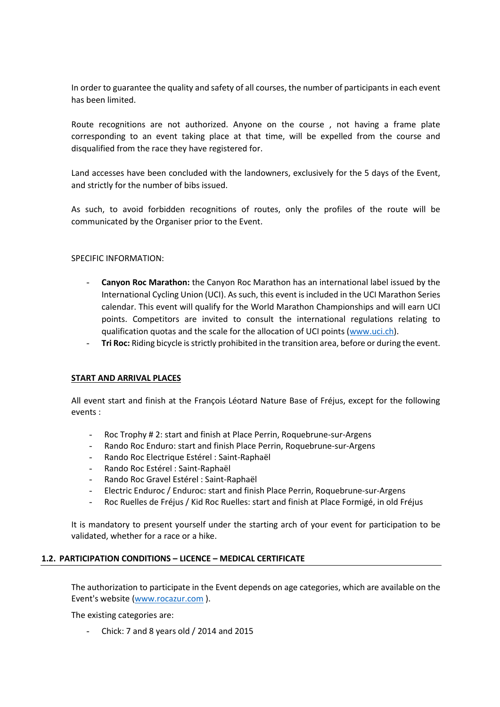In order to guarantee the quality and safety of all courses, the number of participants in each event has been limited.

Route recognitions are not authorized. Anyone on the course , not having a frame plate corresponding to an event taking place at that time, will be expelled from the course and disqualified from the race they have registered for.

Land accesses have been concluded with the landowners, exclusively for the 5 days of the Event, and strictly for the number of bibs issued.

As such, to avoid forbidden recognitions of routes, only the profiles of the route will be communicated by the Organiser prior to the Event.

SPECIFIC INFORMATION:

- **Canyon Roc Marathon:** the Canyon Roc Marathon has an international label issued by the International Cycling Union (UCI). As such, this event is included in the UCI Marathon Series calendar. This event will qualify for the World Marathon Championships and will earn UCI points. Competitors are invited to consult the international regulations relating to qualification quotas and the scale for the allocation of UCI points [\(www.uci.ch\)](http://www.uci.ch/).
- **Tri Roc:** Riding bicycle is strictly prohibited in the transition area, before or during the event.

## **START AND ARRIVAL PLACES**

All event start and finish at the François Léotard Nature Base of Fréjus, except for the following events :

- Roc Trophy # 2: start and finish at Place Perrin, Roquebrune-sur-Argens
- Rando Roc Enduro: start and finish Place Perrin, Roquebrune-sur-Argens
- Rando Roc Electrique Estérel : Saint-Raphaël
- Rando Roc Estérel : Saint-Raphaël
- Rando Roc Gravel Estérel : Saint-Raphaël
- Electric Enduroc / Enduroc: start and finish Place Perrin, Roquebrune-sur-Argens
- Roc Ruelles de Fréjus / Kid Roc Ruelles: start and finish at Place Formigé, in old Fréjus

It is mandatory to present yourself under the starting arch of your event for participation to be validated, whether for a race or a hike.

## **1.2. PARTICIPATION CONDITIONS – LICENCE – MEDICAL CERTIFICATE**

The authorization to participate in the Event depends on age categories, which are available on the Event's website [\(www.rocazur.com](http://www.rocazur.com/) ).

The existing categories are:

- Chick: 7 and 8 years old / 2014 and 2015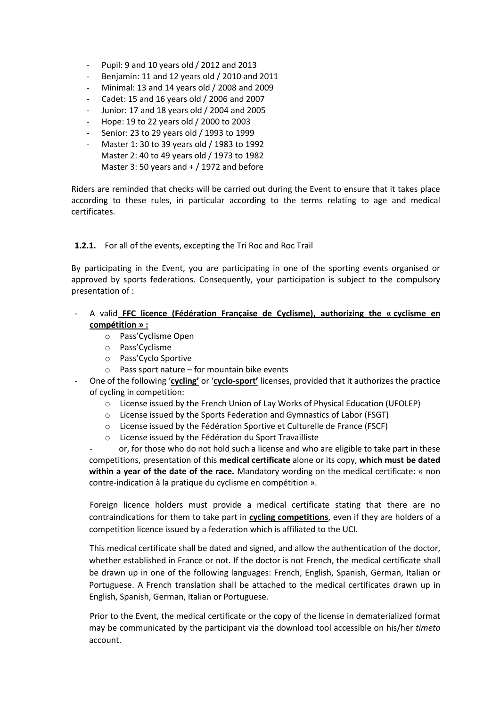- Pupil: 9 and 10 years old / 2012 and 2013
- Benjamin: 11 and 12 years old / 2010 and 2011
- Minimal: 13 and 14 years old / 2008 and 2009
- Cadet: 15 and 16 years old / 2006 and 2007
- Junior: 17 and 18 years old / 2004 and 2005
- Hope: 19 to 22 years old / 2000 to 2003
- Senior: 23 to 29 years old / 1993 to 1999
- Master 1: 30 to 39 years old / 1983 to 1992 Master 2: 40 to 49 years old / 1973 to 1982 Master 3: 50 years and  $+$  / 1972 and before

Riders are reminded that checks will be carried out during the Event to ensure that it takes place according to these rules, in particular according to the terms relating to age and medical certificates.

# **1.2.1.** For all of the events, excepting the Tri Roc and Roc Trail

By participating in the Event, you are participating in one of the sporting events organised or approved by sports federations. Consequently, your participation is subject to the compulsory presentation of :

# - A valid **FFC licence (Fédération Française de Cyclisme), authorizing the « cyclisme en compétition » :**

- o Pass'Cyclisme Open
- o Pass'Cyclisme
- o Pass'Cyclo Sportive
- $\circ$  Pass sport nature for mountain bike events
- One of the following '**cycling'** or '**cyclo-sport'** licenses, provided that it authorizes the practice of cycling in competition:
	- o License issued by the French Union of Lay Works of Physical Education (UFOLEP)
	- o License issued by the Sports Federation and Gymnastics of Labor (FSGT)
	- o License issued by the Fédération Sportive et Culturelle de France (FSCF)
	- o License issued by the Fédération du Sport Travailliste

or, for those who do not hold such a license and who are eligible to take part in these competitions, presentation of this **medical certificate** alone or its copy, **which must be dated within a year of the date of the race.** Mandatory wording on the medical certificate: « non contre-indication à la pratique du cyclisme en compétition ».

Foreign licence holders must provide a medical certificate stating that there are no contraindications for them to take part in **cycling competitions**, even if they are holders of a competition licence issued by a federation which is affiliated to the UCI.

This medical certificate shall be dated and signed, and allow the authentication of the doctor, whether established in France or not. If the doctor is not French, the medical certificate shall be drawn up in one of the following languages: French, English, Spanish, German, Italian or Portuguese. A French translation shall be attached to the medical certificates drawn up in English, Spanish, German, Italian or Portuguese.

Prior to the Event, the medical certificate or the copy of the license in dematerialized format may be communicated by the participant via the download tool accessible on his/her *timeto* account.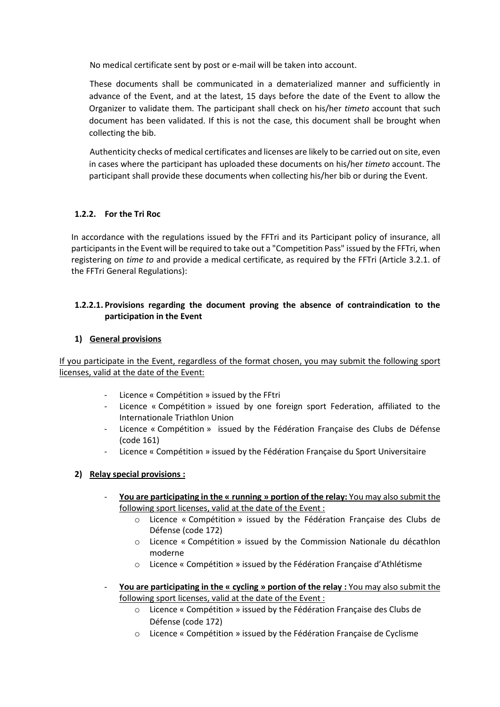No medical certificate sent by post or e-mail will be taken into account.

These documents shall be communicated in a dematerialized manner and sufficiently in advance of the Event, and at the latest, 15 days before the date of the Event to allow the Organizer to validate them. The participant shall check on his/her *timeto* account that such document has been validated. If this is not the case, this document shall be brought when collecting the bib.

Authenticity checks of medical certificates and licenses are likely to be carried out on site, even in cases where the participant has uploaded these documents on his/her *timeto* account. The participant shall provide these documents when collecting his/her bib or during the Event.

# **1.2.2. For the Tri Roc**

In accordance with the regulations issued by the FFTri and its Participant policy of insurance, all participants in the Event will be required to take out a "Competition Pass" issued by the FFTri, when registering on *time to* and provide a medical certificate, as required by the FFTri (Article 3.2.1. of the FFTri General Regulations):

# **1.2.2.1. Provisions regarding the document proving the absence of contraindication to the participation in the Event**

## **1) General provisions**

If you participate in the Event, regardless of the format chosen, you may submit the following sport licenses, valid at the date of the Event:

- Licence « Compétition » issued by the FFtri
- Licence « Compétition » issued by one foreign sport Federation, affiliated to the Internationale Triathlon Union
- Licence « Compétition » issued by the Fédération Française des Clubs de Défense (code 161)
- Licence « Compétition » issued by the Fédération Française du Sport Universitaire

# **2) Relay special provisions :**

- **You are participating in the « running » portion of the relay:** You may also submit the following sport licenses, valid at the date of the Event :
	- o Licence « Compétition » issued by the Fédération Française des Clubs de Défense (code 172)
	- o Licence « Compétition » issued by the Commission Nationale du décathlon moderne
	- o Licence « Compétition » issued by the Fédération Française d'Athlétisme
- **You are participating in the « cycling » portion of the relay :** You may also submit the following sport licenses, valid at the date of the Event :
	- o Licence « Compétition » issued by the Fédération Française des Clubs de Défense (code 172)
	- o Licence « Compétition » issued by the Fédération Française de Cyclisme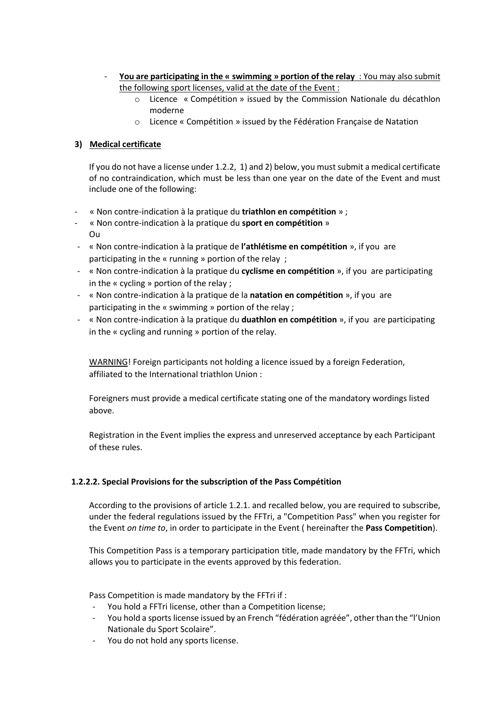- **You are participating in the « swimming » portion of the relay** : You may also submit the following sport licenses, valid at the date of the Event :
	- o Licence « Compétition » issued by the Commission Nationale du décathlon moderne
	- o Licence « Compétition » issued by the Fédération Française de Natation

# **3) Medical certificate**

If you do not have a license under 1.2.2, 1) and 2) below, you must submit a medical certificate of no contraindication, which must be less than one year on the date of the Event and must include one of the following:

- « Non contre-indication à la pratique du **triathlon en compétition** » ;
- « Non contre-indication à la pratique du **sport en compétition** » Ou
- « Non contre-indication à la pratique de **l'athlétisme en compétition** », if you are participating in the « running » portion of the relay ;
- « Non contre-indication à la pratique du **cyclisme en compétition** », if you are participating in the « cycling » portion of the relay ;
- « Non contre-indication à la pratique de la **natation en compétition** », if you are participating in the « swimming » portion of the relay ;
- « Non contre-indication à la pratique du **duathlon en compétition** », if you are participating in the « cycling and running » portion of the relay.

WARNING! Foreign participants not holding a licence issued by a foreign Federation, affiliated to the International triathlon Union :

Foreigners must provide a medical certificate stating one of the mandatory wordings listed above.

Registration in the Event implies the express and unreserved acceptance by each Participant of these rules.

## **1.2.2.2. Special Provisions for the subscription of the Pass Compétition**

According to the provisions of article 1.2.1. and recalled below, you are required to subscribe, under the federal regulations issued by the FFTri, a "Competition Pass" when you register for the Event *on time to*, in order to participate in the Event ( hereinafter the **Pass Competition**).

This Competition Pass is a temporary participation title, made mandatory by the FFTri, which allows you to participate in the events approved by this federation.

Pass Competition is made mandatory by the FFTri if :

- You hold a FFTri license, other than a Competition license;
- You hold a sports license issued by an French "fédération agréée", other than the "l'Union Nationale du Sport Scolaire".
- You do not hold any sports license.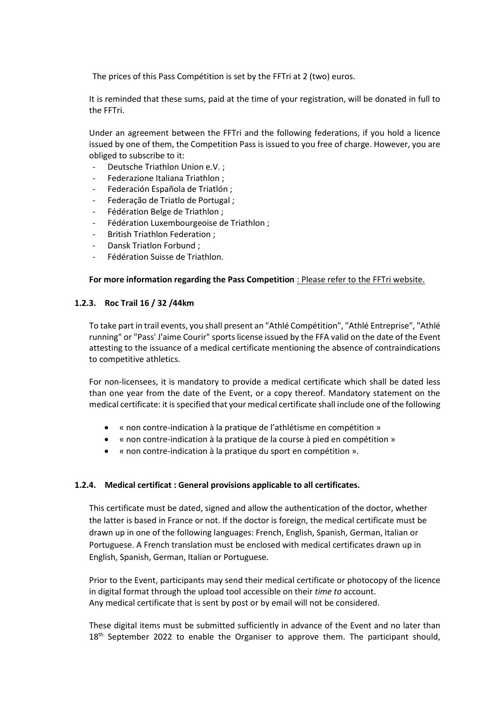The prices of this Pass Compétition is set by the FFTri at 2 (two) euros.

It is reminded that these sums, paid at the time of your registration, will be donated in full to the FFTri.

Under an agreement between the FFTri and the following federations, if you hold a licence issued by one of them, the Competition Pass is issued to you free of charge. However, you are obliged to subscribe to it:

- Deutsche Triathlon Union e.V.;
- Federazione Italiana Triathlon;
- Federación Española de Triatlón ;
- Federação de Triatlo de Portugal ;
- Fédération Belge de Triathlon ;
- Fédération Luxembourgeoise de Triathlon ;
- British Triathlon Federation ;
- Dansk Triatlon Forbund ;
- Fédération Suisse de Triathlon.

## **For more information regarding the Pass Competition** : Please refer to the FFTri website.

## **1.2.3. Roc Trail 16 / 32 /44km**

To take part in trail events, you shall present an "Athlé Compétition", "Athlé Entreprise", "Athlé running" or "Pass' J'aime Courir" sports license issued by the FFA valid on the date of the Event attesting to the issuance of a medical certificate mentioning the absence of contraindications to competitive athletics.

For non-licensees, it is mandatory to provide a medical certificate which shall be dated less than one year from the date of the Event, or a copy thereof. Mandatory statement on the medical certificate: it is specified that your medical certificate shall include one of the following

- « non contre-indication à la pratique de l'athlétisme en compétition »
- « non contre-indication à la pratique de la course à pied en compétition »
- « non contre-indication à la pratique du sport en compétition ».

## **1.2.4. Medical certificat : General provisions applicable to all certificates.**

This certificate must be dated, signed and allow the authentication of the doctor, whether the latter is based in France or not. If the doctor is foreign, the medical certificate must be drawn up in one of the following languages: French, English, Spanish, German, Italian or Portuguese. A French translation must be enclosed with medical certificates drawn up in English, Spanish, German, Italian or Portuguese.

Prior to the Event, participants may send their medical certificate or photocopy of the licence in digital format through the upload tool accessible on their *time to* account. Any medical certificate that is sent by post or by email will not be considered.

These digital items must be submitted sufficiently in advance of the Event and no later than  $18<sup>th</sup>$  September 2022 to enable the Organiser to approve them. The participant should,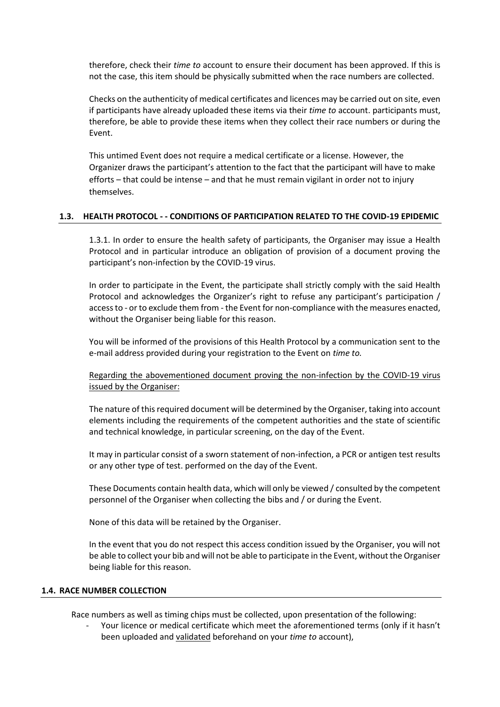therefore, check their *time to* account to ensure their document has been approved. If this is not the case, this item should be physically submitted when the race numbers are collected.

Checks on the authenticity of medical certificates and licences may be carried out on site, even if participants have already uploaded these items via their *time to* account. participants must, therefore, be able to provide these items when they collect their race numbers or during the Event.

This untimed Event does not require a medical certificate or a license. However, the Organizer draws the participant's attention to the fact that the participant will have to make efforts – that could be intense – and that he must remain vigilant in order not to injury themselves.

## **1.3. HEALTH PROTOCOL - - CONDITIONS OF PARTICIPATION RELATED TO THE COVID-19 EPIDEMIC**

1.3.1. In order to ensure the health safety of participants, the Organiser may issue a Health Protocol and in particular introduce an obligation of provision of a document proving the participant's non-infection by the COVID-19 virus.

In order to participate in the Event, the participate shall strictly comply with the said Health Protocol and acknowledges the Organizer's right to refuse any participant's participation / access to - or to exclude them from - the Event for non-compliance with the measures enacted, without the Organiser being liable for this reason.

You will be informed of the provisions of this Health Protocol by a communication sent to the e-mail address provided during your registration to the Event on *time to.*

Regarding the abovementioned document proving the non-infection by the COVID-19 virus issued by the Organiser:

The nature of this required document will be determined by the Organiser, taking into account elements including the requirements of the competent authorities and the state of scientific and technical knowledge, in particular screening, on the day of the Event.

It may in particular consist of a sworn statement of non-infection, a PCR or antigen test results or any other type of test. performed on the day of the Event.

These Documents contain health data, which will only be viewed / consulted by the competent personnel of the Organiser when collecting the bibs and / or during the Event.

None of this data will be retained by the Organiser.

In the event that you do not respect this access condition issued by the Organiser, you will not be able to collect your bib and will not be able to participate in the Event, without the Organiser being liable for this reason.

### **1.4. RACE NUMBER COLLECTION**

Race numbers as well as timing chips must be collected, upon presentation of the following:

Your licence or medical certificate which meet the aforementioned terms (only if it hasn't been uploaded and validated beforehand on your *time to* account),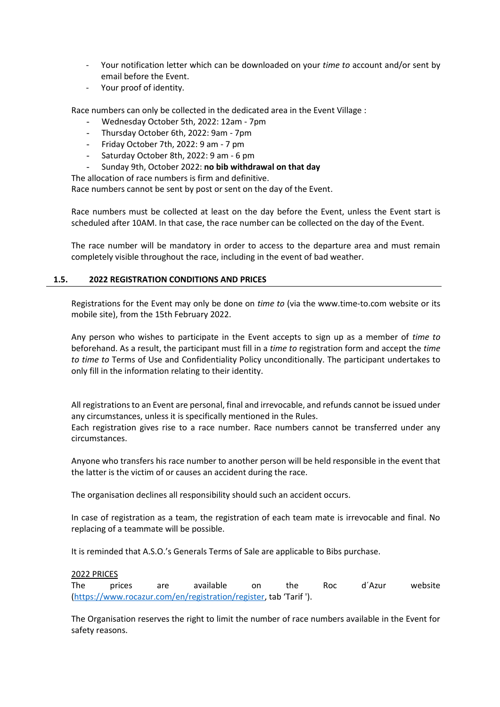- Your notification letter which can be downloaded on your *time to* account and/or sent by email before the Event.
- Your proof of identity.

Race numbers can only be collected in the dedicated area in the Event Village :

- Wednesday October 5th, 2022: 12am 7pm
- Thursday October 6th, 2022: 9am 7pm
- Friday October 7th, 2022: 9 am 7 pm
- Saturday October 8th, 2022: 9 am 6 pm
- Sunday 9th, October 2022: **no bib withdrawal on that day**

The allocation of race numbers is firm and definitive.

Race numbers cannot be sent by post or sent on the day of the Event.

Race numbers must be collected at least on the day before the Event, unless the Event start is scheduled after 10AM. In that case, the race number can be collected on the day of the Event.

The race number will be mandatory in order to access to the departure area and must remain completely visible throughout the race, including in the event of bad weather.

### **1.5. 2022 REGISTRATION CONDITIONS AND PRICES**

Registrations for the Event may only be done on *time to* (via the www.time-to.com website or its mobile site), from the 15th February 2022.

Any person who wishes to participate in the Event accepts to sign up as a member of *time to* beforehand. As a result, the participant must fill in a *time to* registration form and accept the *time to time to* Terms of Use and Confidentiality Policy unconditionally. The participant undertakes to only fill in the information relating to their identity.

All registrations to an Event are personal, final and irrevocable, and refunds cannot be issued under any circumstances, unless it is specifically mentioned in the Rules.

Each registration gives rise to a race number. Race numbers cannot be transferred under any circumstances.

Anyone who transfers his race number to another person will be held responsible in the event that the latter is the victim of or causes an accident during the race.

The organisation declines all responsibility should such an accident occurs.

In case of registration as a team, the registration of each team mate is irrevocable and final. No replacing of a teammate will be possible.

It is reminded that A.S.O.'s Generals Terms of Sale are applicable to Bibs purchase.

### 2022 PRICES

The prices are available on the Roc d´Azur website [\(https://www.rocazur.com/en/registration/register](https://www.rocazur.com/en/registration/register), tab 'Tarif ').

The Organisation reserves the right to limit the number of race numbers available in the Event for safety reasons.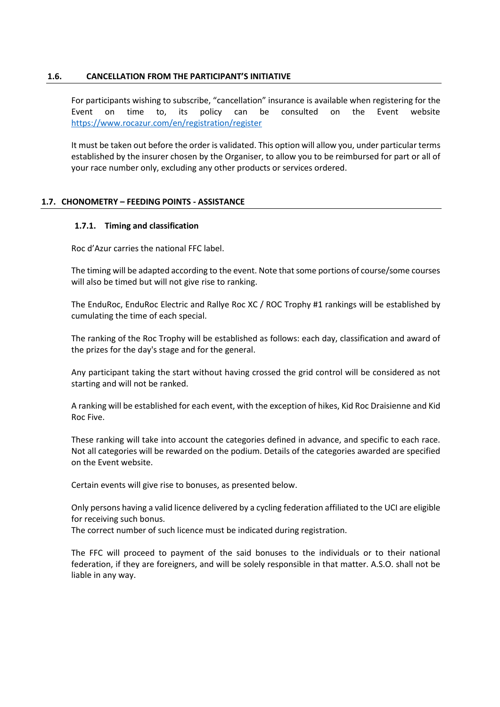## **1.6. CANCELLATION FROM THE PARTICIPANT'S INITIATIVE**

For participants wishing to subscribe, "cancellation" insurance is available when registering for the Event on time to, its policy can be consulted on the Event website <https://www.rocazur.com/en/registration/register>

It must be taken out before the order is validated. This option will allow you, under particular terms established by the insurer chosen by the Organiser, to allow you to be reimbursed for part or all of your race number only, excluding any other products or services ordered.

# **1.7. CHONOMETRY – FEEDING POINTS - ASSISTANCE**

# **1.7.1. Timing and classification**

Roc d'Azur carries the national FFC label.

The timing will be adapted according to the event. Note that some portions of course/some courses will also be timed but will not give rise to ranking.

The EnduRoc, EnduRoc Electric and Rallye Roc XC / ROC Trophy #1 rankings will be established by cumulating the time of each special.

The ranking of the Roc Trophy will be established as follows: each day, classification and award of the prizes for the day's stage and for the general.

Any participant taking the start without having crossed the grid control will be considered as not starting and will not be ranked.

A ranking will be established for each event, with the exception of hikes, Kid Roc Draisienne and Kid Roc Five.

These ranking will take into account the categories defined in advance, and specific to each race. Not all categories will be rewarded on the podium. Details of the categories awarded are specified on the Event website.

Certain events will give rise to bonuses, as presented below.

Only persons having a valid licence delivered by a cycling federation affiliated to the UCI are eligible for receiving such bonus.

The correct number of such licence must be indicated during registration.

The FFC will proceed to payment of the said bonuses to the individuals or to their national federation, if they are foreigners, and will be solely responsible in that matter. A.S.O. shall not be liable in any way.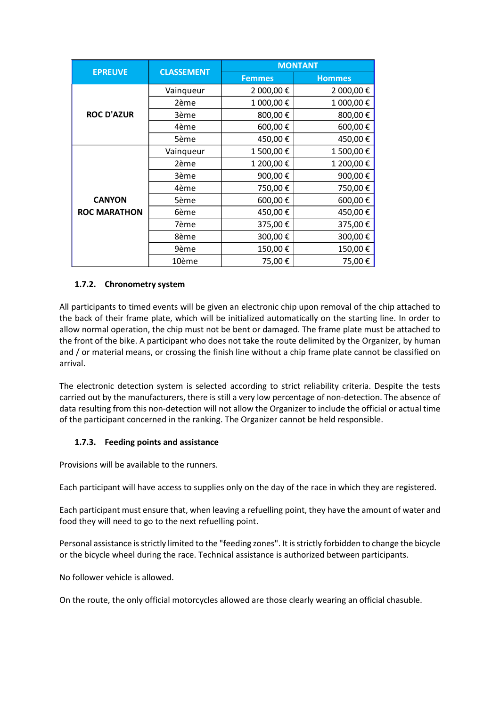| <b>EPREUVE</b>      | <b>CLASSEMENT</b> | <b>MONTANT</b> |               |  |  |  |
|---------------------|-------------------|----------------|---------------|--|--|--|
|                     |                   | <b>Femmes</b>  | <b>Hommes</b> |  |  |  |
|                     | Vainqueur         | 2 000,00 €     | 2 000,00 €    |  |  |  |
|                     | 2ème              | 1 000,00€      | 1 000,00€     |  |  |  |
| <b>ROC D'AZUR</b>   | 3ème              | 800,00€        | 800,00€       |  |  |  |
|                     | 4ème              | 600,00€        | 600,00€       |  |  |  |
|                     | 5ème              | 450,00€        | 450,00€       |  |  |  |
|                     | Vainqueur         | 1 500,00 €     | 1 500,00€     |  |  |  |
|                     | 2ème              | 1 200,00€      | 1 200,00€     |  |  |  |
|                     | 3ème              | 900,00€        | 900,00€       |  |  |  |
|                     | 4ème              | 750,00€        | 750,00€       |  |  |  |
| <b>CANYON</b>       | 5ème              | 600,00€        | 600,00€       |  |  |  |
| <b>ROC MARATHON</b> | 6ème              | 450,00€        | 450,00€       |  |  |  |
|                     | 7ème              | 375,00€        | 375,00€       |  |  |  |
|                     | 8ème              | 300,00€        | 300,00€       |  |  |  |
|                     | 9ème              | 150,00€        | 150,00€       |  |  |  |
|                     | 10ème             | 75,00€         | 75,00€        |  |  |  |

# **1.7.2. Chronometry system**

All participants to timed events will be given an electronic chip upon removal of the chip attached to the back of their frame plate, which will be initialized automatically on the starting line. In order to allow normal operation, the chip must not be bent or damaged. The frame plate must be attached to the front of the bike. A participant who does not take the route delimited by the Organizer, by human and / or material means, or crossing the finish line without a chip frame plate cannot be classified on arrival.

The electronic detection system is selected according to strict reliability criteria. Despite the tests carried out by the manufacturers, there is still a very low percentage of non-detection. The absence of data resulting from this non-detection will not allow the Organizer to include the official or actual time of the participant concerned in the ranking. The Organizer cannot be held responsible.

# **1.7.3. Feeding points and assistance**

Provisions will be available to the runners.

Each participant will have access to supplies only on the day of the race in which they are registered.

Each participant must ensure that, when leaving a refuelling point, they have the amount of water and food they will need to go to the next refuelling point.

Personal assistance is strictly limited to the "feeding zones". It is strictly forbidden to change the bicycle or the bicycle wheel during the race. Technical assistance is authorized between participants.

No follower vehicle is allowed.

On the route, the only official motorcycles allowed are those clearly wearing an official chasuble.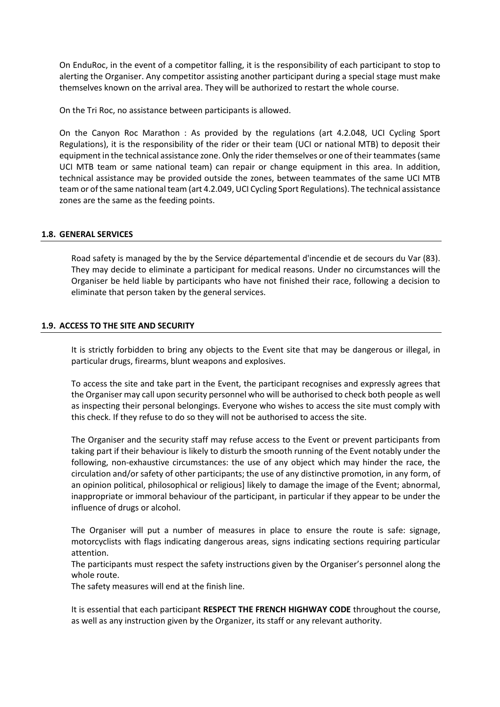On EnduRoc, in the event of a competitor falling, it is the responsibility of each participant to stop to alerting the Organiser. Any competitor assisting another participant during a special stage must make themselves known on the arrival area. They will be authorized to restart the whole course.

On the Tri Roc, no assistance between participants is allowed.

On the Canyon Roc Marathon : As provided by the regulations (art 4.2.048, UCI Cycling Sport Regulations), it is the responsibility of the rider or their team (UCI or national MTB) to deposit their equipment in the technical assistance zone. Only the rider themselves or one of their teammates (same UCI MTB team or same national team) can repair or change equipment in this area. In addition, technical assistance may be provided outside the zones, between teammates of the same UCI MTB team or of the same national team (art 4.2.049, UCI Cycling Sport Regulations). The technical assistance zones are the same as the feeding points.

### **1.8. GENERAL SERVICES**

Road safety is managed by the by the Service départemental d'incendie et de secours du Var (83). They may decide to eliminate a participant for medical reasons. Under no circumstances will the Organiser be held liable by participants who have not finished their race, following a decision to eliminate that person taken by the general services.

### **1.9. ACCESS TO THE SITE AND SECURITY**

It is strictly forbidden to bring any objects to the Event site that may be dangerous or illegal, in particular drugs, firearms, blunt weapons and explosives.

To access the site and take part in the Event, the participant recognises and expressly agrees that the Organiser may call upon security personnel who will be authorised to check both people as well as inspecting their personal belongings. Everyone who wishes to access the site must comply with this check. If they refuse to do so they will not be authorised to access the site.

The Organiser and the security staff may refuse access to the Event or prevent participants from taking part if their behaviour is likely to disturb the smooth running of the Event notably under the following, non-exhaustive circumstances: the use of any object which may hinder the race, the circulation and/or safety of other participants; the use of any distinctive promotion, in any form, of an opinion political, philosophical or religious] likely to damage the image of the Event; abnormal, inappropriate or immoral behaviour of the participant, in particular if they appear to be under the influence of drugs or alcohol.

The Organiser will put a number of measures in place to ensure the route is safe: signage, motorcyclists with flags indicating dangerous areas, signs indicating sections requiring particular attention.

The participants must respect the safety instructions given by the Organiser's personnel along the whole route.

The safety measures will end at the finish line.

It is essential that each participant **RESPECT THE FRENCH HIGHWAY CODE** throughout the course, as well as any instruction given by the Organizer, its staff or any relevant authority.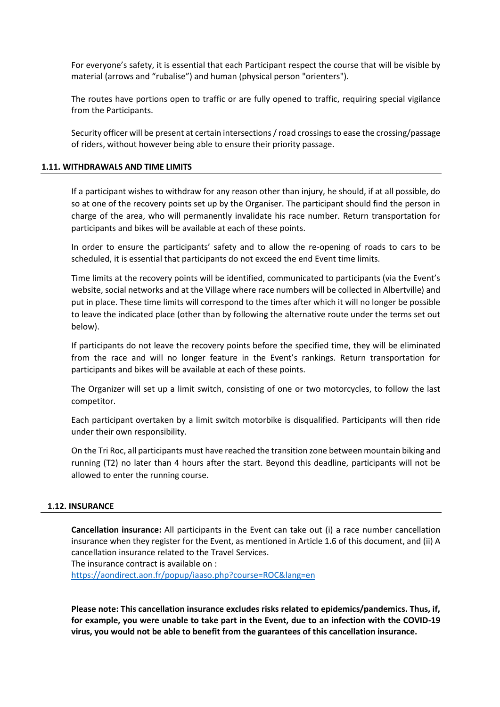For everyone's safety, it is essential that each Participant respect the course that will be visible by material (arrows and "rubalise") and human (physical person "orienters").

The routes have portions open to traffic or are fully opened to traffic, requiring special vigilance from the Participants.

Security officer will be present at certain intersections / road crossings to ease the crossing/passage of riders, without however being able to ensure their priority passage.

### **1.11. WITHDRAWALS AND TIME LIMITS**

If a participant wishes to withdraw for any reason other than injury, he should, if at all possible, do so at one of the recovery points set up by the Organiser. The participant should find the person in charge of the area, who will permanently invalidate his race number. Return transportation for participants and bikes will be available at each of these points.

In order to ensure the participants' safety and to allow the re-opening of roads to cars to be scheduled, it is essential that participants do not exceed the end Event time limits.

Time limits at the recovery points will be identified, communicated to participants (via the Event's website, social networks and at the Village where race numbers will be collected in Albertville) and put in place. These time limits will correspond to the times after which it will no longer be possible to leave the indicated place (other than by following the alternative route under the terms set out below).

If participants do not leave the recovery points before the specified time, they will be eliminated from the race and will no longer feature in the Event's rankings. Return transportation for participants and bikes will be available at each of these points.

The Organizer will set up a limit switch, consisting of one or two motorcycles, to follow the last competitor.

Each participant overtaken by a limit switch motorbike is disqualified. Participants will then ride under their own responsibility.

On the Tri Roc, all participants must have reached the transition zone between mountain biking and running (T2) no later than 4 hours after the start. Beyond this deadline, participants will not be allowed to enter the running course.

### **1.12. INSURANCE**

**Cancellation insurance:** All participants in the Event can take out (i) a race number cancellation insurance when they register for the Event, as mentioned in Article 1.6 of this document, and (ii) A cancellation insurance related to the Travel Services. The insurance contract is available on :

<https://aondirect.aon.fr/popup/iaaso.php?course=ROC&lang=en>

**Please note: This cancellation insurance excludes risks related to epidemics/pandemics. Thus, if, for example, you were unable to take part in the Event, due to an infection with the COVID-19 virus, you would not be able to benefit from the guarantees of this cancellation insurance.**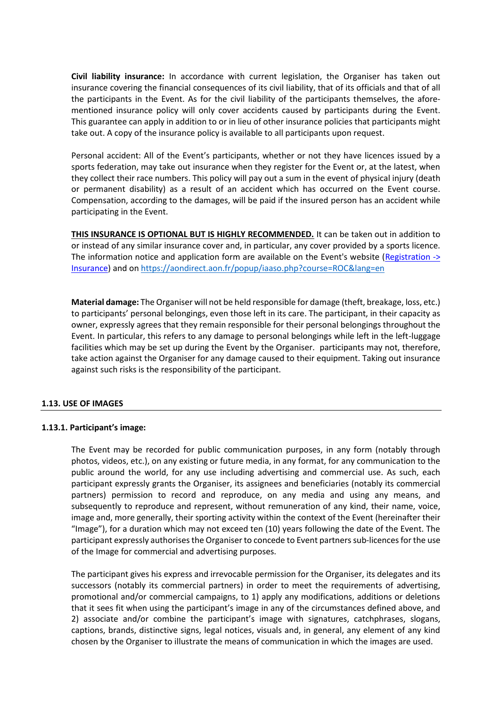**Civil liability insurance:** In accordance with current legislation, the Organiser has taken out insurance covering the financial consequences of its civil liability, that of its officials and that of all the participants in the Event. As for the civil liability of the participants themselves, the aforementioned insurance policy will only cover accidents caused by participants during the Event. This guarantee can apply in addition to or in lieu of other insurance policies that participants might take out. A copy of the insurance policy is available to all participants upon request.

Personal accident: All of the Event's participants, whether or not they have licences issued by a sports federation, may take out insurance when they register for the Event or, at the latest, when they collect their race numbers. This policy will pay out a sum in the event of physical injury (death or permanent disability) as a result of an accident which has occurred on the Event course. Compensation, according to the damages, will be paid if the insured person has an accident while participating in the Event.

**THIS INSURANCE IS OPTIONAL BUT IS HIGHLY RECOMMENDED.** It can be taken out in addition to or instead of any similar insurance cover and, in particular, any cover provided by a sports licence. The information notice and application form are available on the Event's website [\(Registration ->](http://www.schneiderelectricparismarathon.com/inscription/assurances)  [Insurance\)](http://www.schneiderelectricparismarathon.com/inscription/assurances) and on<https://aondirect.aon.fr/popup/iaaso.php?course=ROC&lang=en>

**Material damage:** The Organiser will not be held responsible for damage (theft, breakage, loss, etc.) to participants' personal belongings, even those left in its care. The participant, in their capacity as owner, expressly agrees that they remain responsible for their personal belongings throughout the Event. In particular, this refers to any damage to personal belongings while left in the left-luggage facilities which may be set up during the Event by the Organiser. participants may not, therefore, take action against the Organiser for any damage caused to their equipment. Taking out insurance against such risks is the responsibility of the participant.

## **1.13. USE OF IMAGES**

## **1.13.1. Participant's image:**

The Event may be recorded for public communication purposes, in any form (notably through photos, videos, etc.), on any existing or future media, in any format, for any communication to the public around the world, for any use including advertising and commercial use. As such, each participant expressly grants the Organiser, its assignees and beneficiaries (notably its commercial partners) permission to record and reproduce, on any media and using any means, and subsequently to reproduce and represent, without remuneration of any kind, their name, voice, image and, more generally, their sporting activity within the context of the Event (hereinafter their "Image"), for a duration which may not exceed ten (10) years following the date of the Event. The participant expressly authorises the Organiser to concede to Event partners sub-licences for the use of the Image for commercial and advertising purposes.

The participant gives his express and irrevocable permission for the Organiser, its delegates and its successors (notably its commercial partners) in order to meet the requirements of advertising, promotional and/or commercial campaigns, to 1) apply any modifications, additions or deletions that it sees fit when using the participant's image in any of the circumstances defined above, and 2) associate and/or combine the participant's image with signatures, catchphrases, slogans, captions, brands, distinctive signs, legal notices, visuals and, in general, any element of any kind chosen by the Organiser to illustrate the means of communication in which the images are used.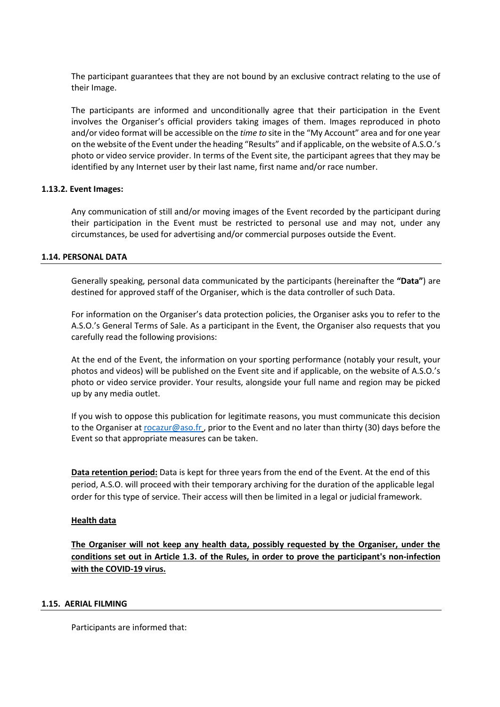The participant guarantees that they are not bound by an exclusive contract relating to the use of their Image.

The participants are informed and unconditionally agree that their participation in the Event involves the Organiser's official providers taking images of them. Images reproduced in photo and/or video format will be accessible on the *time to* site in the "My Account" area and for one year on the website of the Event under the heading "Results" and if applicable, on the website of A.S.O.'s photo or video service provider. In terms of the Event site, the participant agrees that they may be identified by any Internet user by their last name, first name and/or race number.

## **1.13.2. Event Images:**

Any communication of still and/or moving images of the Event recorded by the participant during their participation in the Event must be restricted to personal use and may not, under any circumstances, be used for advertising and/or commercial purposes outside the Event.

### **1.14. PERSONAL DATA**

Generally speaking, personal data communicated by the participants (hereinafter the **"Data"**) are destined for approved staff of the Organiser, which is the data controller of such Data.

For information on the Organiser's data protection policies, the Organiser asks you to refer to the A.S.O.'s General Terms of Sale. As a participant in the Event, the Organiser also requests that you carefully read the following provisions:

At the end of the Event, the information on your sporting performance (notably your result, your photos and videos) will be published on the Event site and if applicable, on the website of A.S.O.'s photo or video service provider. Your results, alongside your full name and region may be picked up by any media outlet.

If you wish to oppose this publication for legitimate reasons, you must communicate this decision to the Organiser a[t rocazur@aso.fr](mailto:rocazur@aso.fr) , prior to the Event and no later than thirty (30) days before the Event so that appropriate measures can be taken.

**Data retention period:** Data is kept for three years from the end of the Event. At the end of this period, A.S.O. will proceed with their temporary archiving for the duration of the applicable legal order for this type of service. Their access will then be limited in a legal or judicial framework.

### **Health data**

**The Organiser will not keep any health data, possibly requested by the Organiser, under the conditions set out in Article 1.3. of the Rules, in order to prove the participant's non-infection with the COVID-19 virus.**

### **1.15. AERIAL FILMING**

Participants are informed that: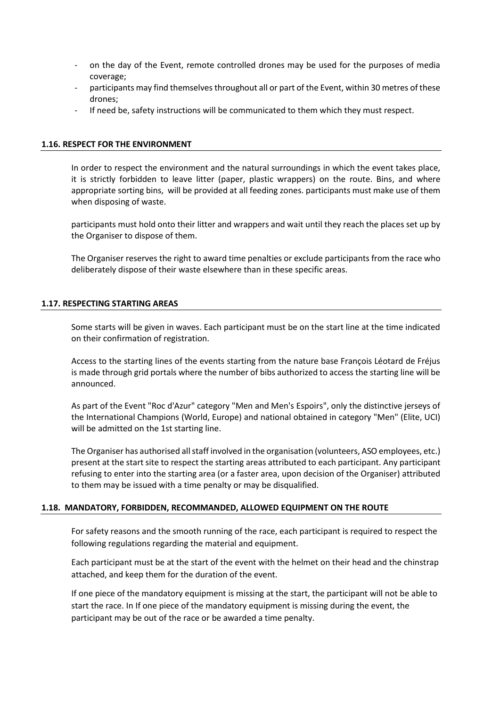- on the day of the Event, remote controlled drones may be used for the purposes of media coverage;
- participants may find themselves throughout all or part of the Event, within 30 metres of these drones;
- If need be, safety instructions will be communicated to them which they must respect.

### **1.16. RESPECT FOR THE ENVIRONMENT**

In order to respect the environment and the natural surroundings in which the event takes place, it is strictly forbidden to leave litter (paper, plastic wrappers) on the route. Bins, and where appropriate sorting bins, will be provided at all feeding zones. participants must make use of them when disposing of waste.

participants must hold onto their litter and wrappers and wait until they reach the places set up by the Organiser to dispose of them.

The Organiser reserves the right to award time penalties or exclude participants from the race who deliberately dispose of their waste elsewhere than in these specific areas.

### **1.17. RESPECTING STARTING AREAS**

Some starts will be given in waves. Each participant must be on the start line at the time indicated on their confirmation of registration.

Access to the starting lines of the events starting from the nature base François Léotard de Fréjus is made through grid portals where the number of bibs authorized to access the starting line will be announced.

As part of the Event "Roc d'Azur" category "Men and Men's Espoirs", only the distinctive jerseys of the International Champions (World, Europe) and national obtained in category "Men" (Elite, UCI) will be admitted on the 1st starting line.

The Organiser has authorised all staff involved in the organisation (volunteers, ASO employees, etc.) present at the start site to respect the starting areas attributed to each participant. Any participant refusing to enter into the starting area (or a faster area, upon decision of the Organiser) attributed to them may be issued with a time penalty or may be disqualified.

## **1.18. MANDATORY, FORBIDDEN, RECOMMANDED, ALLOWED EQUIPMENT ON THE ROUTE**

For safety reasons and the smooth running of the race, each participant is required to respect the following regulations regarding the material and equipment.

Each participant must be at the start of the event with the helmet on their head and the chinstrap attached, and keep them for the duration of the event.

If one piece of the mandatory equipment is missing at the start, the participant will not be able to start the race. In If one piece of the mandatory equipment is missing during the event, the participant may be out of the race or be awarded a time penalty.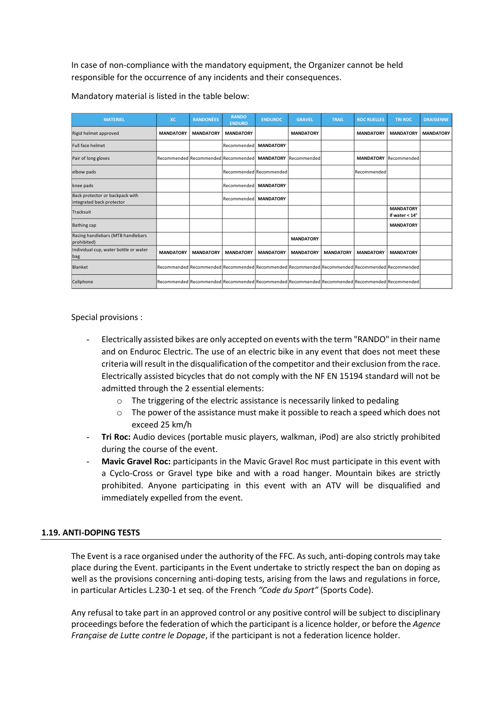In case of non-compliance with the mandatory equipment, the Organizer cannot be held responsible for the occurrence of any incidents and their consequences.

| <b>MATERIEL</b>                                              | <b>XC</b>        | <b>RANDONÉES</b>                    | <b>RANDO</b><br><b>ENDURO</b> | <b>ENDUROC</b>   | <b>GRAVEL</b>                                                                                                 | <b>TRAIL</b>     | <b>ROC RUELLES</b> | <b>TRI ROC</b>                            | <b>DRAISIENNE</b> |
|--------------------------------------------------------------|------------------|-------------------------------------|-------------------------------|------------------|---------------------------------------------------------------------------------------------------------------|------------------|--------------------|-------------------------------------------|-------------------|
| Rigid helmet approved                                        | <b>MANDATORY</b> | <b>MANDATORY</b>                    | <b>MANDATORY</b>              |                  | <b>MANDATORY</b>                                                                                              |                  | <b>MANDATORY</b>   | <b>MANDATORY</b>                          | <b>MANDATORY</b>  |
| <b>Full face helmet</b>                                      |                  |                                     | Recommended                   | <b>MANDATORY</b> |                                                                                                               |                  |                    |                                           |                   |
| Pair of long gloves                                          |                  | Recommended Recommended Recommended |                               | <b>MANDATORY</b> | Recommended                                                                                                   |                  |                    | <b>MANDATORY</b> Recommended              |                   |
| elbow pads                                                   |                  |                                     | Recommended Recommended       |                  |                                                                                                               |                  | Recommended        |                                           |                   |
| knee pads                                                    |                  |                                     | Recommended                   | <b>MANDATORY</b> |                                                                                                               |                  |                    |                                           |                   |
| Back protector or backpack with<br>integrated back protector |                  |                                     | Recommended                   | <b>MANDATORY</b> |                                                                                                               |                  |                    |                                           |                   |
| Tracksuit                                                    |                  |                                     |                               |                  |                                                                                                               |                  |                    | <b>MANDATORY</b><br>if water $< 14^\circ$ |                   |
| <b>Bathing cap</b>                                           |                  |                                     |                               |                  |                                                                                                               |                  |                    | <b>MANDATORY</b>                          |                   |
| Racing handlebars (MTB handlebars<br>prohibited)             |                  |                                     |                               |                  | <b>MANDATORY</b>                                                                                              |                  |                    |                                           |                   |
| Individual cup, water bottle or water<br>bag                 | <b>MANDATORY</b> | <b>MANDATORY</b>                    | <b>MANDATORY</b>              | <b>MANDATORY</b> | <b>MANDATORY</b>                                                                                              | <b>MANDATORY</b> | <b>MANDATORY</b>   | <b>MANDATORY</b>                          |                   |
| Blanket                                                      |                  |                                     |                               |                  | Recommended Recommended Recommended Recommended Recommended Recommended Recommended Recommended Recommended   |                  |                    |                                           |                   |
| Cellphone                                                    |                  |                                     |                               |                  | Recommended   Recommended   Recommended   Recommended   Recommended   Recommended   Recommended   Recommended |                  |                    |                                           |                   |

Mandatory material is listed in the table below:

Special provisions :

- Electrically assisted bikes are only accepted on events with the term "RANDO" in their name and on Enduroc Electric. The use of an electric bike in any event that does not meet these criteria will result in the disqualification of the competitor and their exclusion from the race. Electrically assisted bicycles that do not comply with the NF EN 15194 standard will not be admitted through the 2 essential elements:
	- o The triggering of the electric assistance is necessarily linked to pedaling
	- $\circ$  The power of the assistance must make it possible to reach a speed which does not exceed 25 km/h
- Tri Roc: Audio devices (portable music players, walkman, iPod) are also strictly prohibited during the course of the event.
- **Mavic Gravel Roc:** participants in the Mavic Gravel Roc must participate in this event with a Cyclo-Cross or Gravel type bike and with a road hanger. Mountain bikes are strictly prohibited. Anyone participating in this event with an ATV will be disqualified and immediately expelled from the event.

## **1.19. ANTI-DOPING TESTS**

The Event is a race organised under the authority of the FFC. As such, anti-doping controls may take place during the Event. participants in the Event undertake to strictly respect the ban on doping as well as the provisions concerning anti-doping tests, arising from the laws and regulations in force, in particular Articles L.230-1 et seq. of the French *"Code du Sport"* (Sports Code).

Any refusal to take part in an approved control or any positive control will be subject to disciplinary proceedings before the federation of which the participant is a licence holder, or before the *Agence Française de Lutte contre le Dopage*, if the participant is not a federation licence holder.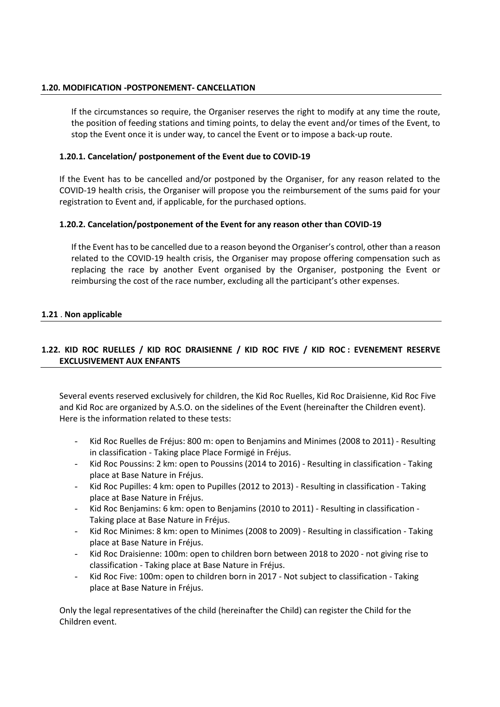## **1.20. MODIFICATION -POSTPONEMENT- CANCELLATION**

If the circumstances so require, the Organiser reserves the right to modify at any time the route, the position of feeding stations and timing points, to delay the event and/or times of the Event, to stop the Event once it is under way, to cancel the Event or to impose a back-up route.

## **1.20.1. Cancelation/ postponement of the Event due to COVID-19**

If the Event has to be cancelled and/or postponed by the Organiser, for any reason related to the COVID-19 health crisis, the Organiser will propose you the reimbursement of the sums paid for your registration to Event and, if applicable, for the purchased options.

# **1.20.2. Cancelation/postponement of the Event for any reason other than COVID-19**

If the Event has to be cancelled due to a reason beyond the Organiser's control, other than a reason related to the COVID-19 health crisis, the Organiser may propose offering compensation such as replacing the race by another Event organised by the Organiser, postponing the Event or reimbursing the cost of the race number, excluding all the participant's other expenses.

## **1.21** . **Non applicable**

# **1.22. KID ROC RUELLES / KID ROC DRAISIENNE / KID ROC FIVE / KID ROC : EVENEMENT RESERVE EXCLUSIVEMENT AUX ENFANTS**

Several events reserved exclusively for children, the Kid Roc Ruelles, Kid Roc Draisienne, Kid Roc Five and Kid Roc are organized by A.S.O. on the sidelines of the Event (hereinafter the Children event). Here is the information related to these tests:

- Kid Roc Ruelles de Fréjus: 800 m: open to Benjamins and Minimes (2008 to 2011) Resulting in classification - Taking place Place Formigé in Fréjus.
- Kid Roc Poussins: 2 km: open to Poussins (2014 to 2016) Resulting in classification Taking place at Base Nature in Fréjus.
- Kid Roc Pupilles: 4 km: open to Pupilles (2012 to 2013) Resulting in classification Taking place at Base Nature in Fréjus.
- Kid Roc Benjamins: 6 km: open to Benjamins (2010 to 2011) Resulting in classification -Taking place at Base Nature in Fréjus.
- Kid Roc Minimes: 8 km: open to Minimes (2008 to 2009) Resulting in classification Taking place at Base Nature in Fréjus.
- Kid Roc Draisienne: 100m: open to children born between 2018 to 2020 not giving rise to classification - Taking place at Base Nature in Fréjus.
- Kid Roc Five: 100m: open to children born in 2017 Not subject to classification Taking place at Base Nature in Fréjus.

Only the legal representatives of the child (hereinafter the Child) can register the Child for the Children event.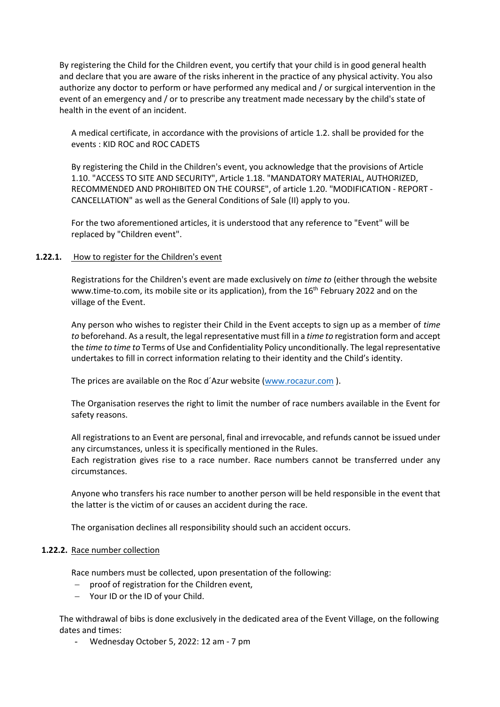By registering the Child for the Children event, you certify that your child is in good general health and declare that you are aware of the risks inherent in the practice of any physical activity. You also authorize any doctor to perform or have performed any medical and / or surgical intervention in the event of an emergency and / or to prescribe any treatment made necessary by the child's state of health in the event of an incident.

A medical certificate, in accordance with the provisions of article 1.2. shall be provided for the events : KID ROC and ROC CADETS

By registering the Child in the Children's event, you acknowledge that the provisions of Article 1.10. "ACCESS TO SITE AND SECURITY", Article 1.18. "MANDATORY MATERIAL, AUTHORIZED, RECOMMENDED AND PROHIBITED ON THE COURSE", of article 1.20. "MODIFICATION - REPORT - CANCELLATION" as well as the General Conditions of Sale (II) apply to you.

For the two aforementioned articles, it is understood that any reference to "Event" will be replaced by "Children event".

## 1.22.1. How to register for the Children's event

Registrations for the Children's event are made exclusively on *time to* (either through the website www.time-to.com, its mobile site or its application), from the  $16<sup>th</sup>$  February 2022 and on the village of the Event.

Any person who wishes to register their Child in the Event accepts to sign up as a member of *time to* beforehand. As a result, the legal representative must fill in a *time to* registration form and accept the *time to time to* Terms of Use and Confidentiality Policy unconditionally. The legal representative undertakes to fill in correct information relating to their identity and the Child's identity.

The prices are available on the Roc d´Azur website [\(www.rocazur.com](http://www.rocazur.com/) ).

The Organisation reserves the right to limit the number of race numbers available in the Event for safety reasons.

All registrations to an Event are personal, final and irrevocable, and refunds cannot be issued under any circumstances, unless it is specifically mentioned in the Rules.

Each registration gives rise to a race number. Race numbers cannot be transferred under any circumstances.

Anyone who transfers his race number to another person will be held responsible in the event that the latter is the victim of or causes an accident during the race.

The organisation declines all responsibility should such an accident occurs.

### **1.22.2.** Race number collection

Race numbers must be collected, upon presentation of the following:

- − proof of registration for the Children event,
- − Your ID or the ID of your Child.

The withdrawal of bibs is done exclusively in the dedicated area of the Event Village, on the following dates and times:

- Wednesday October 5, 2022: 12 am - 7 pm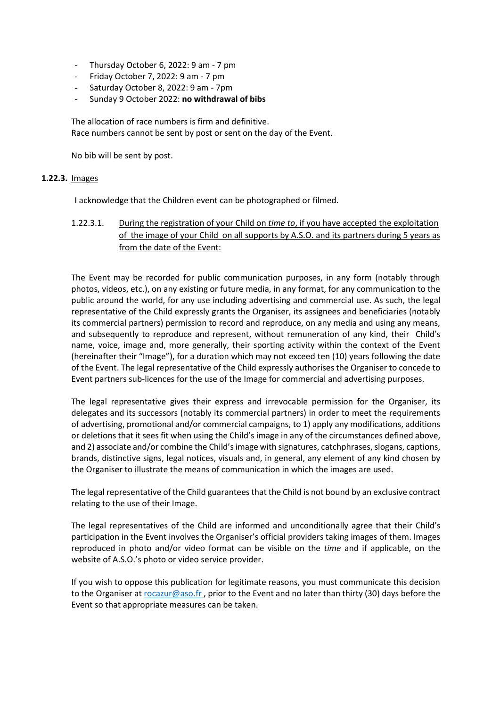- Thursday October 6, 2022: 9 am 7 pm
- Friday October 7, 2022: 9 am 7 pm
- Saturday October 8, 2022: 9 am 7pm
- Sunday 9 October 2022: **no withdrawal of bibs**

The allocation of race numbers is firm and definitive. Race numbers cannot be sent by post or sent on the day of the Event.

No bib will be sent by post.

### **1.22.3.** Images

I acknowledge that the Children event can be photographed or filmed.

1.22.3.1. During the registration of your Child on *time to*, if you have accepted the exploitation of the image of your Child on all supports by A.S.O. and its partners during 5 years as from the date of the Event:

The Event may be recorded for public communication purposes, in any form (notably through photos, videos, etc.), on any existing or future media, in any format, for any communication to the public around the world, for any use including advertising and commercial use. As such, the legal representative of the Child expressly grants the Organiser, its assignees and beneficiaries (notably its commercial partners) permission to record and reproduce, on any media and using any means, and subsequently to reproduce and represent, without remuneration of any kind, their Child's name, voice, image and, more generally, their sporting activity within the context of the Event (hereinafter their "Image"), for a duration which may not exceed ten (10) years following the date of the Event. The legal representative of the Child expressly authorises the Organiser to concede to Event partners sub-licences for the use of the Image for commercial and advertising purposes.

The legal representative gives their express and irrevocable permission for the Organiser, its delegates and its successors (notably its commercial partners) in order to meet the requirements of advertising, promotional and/or commercial campaigns, to 1) apply any modifications, additions or deletions that it sees fit when using the Child's image in any of the circumstances defined above, and 2) associate and/or combine the Child's image with signatures, catchphrases, slogans, captions, brands, distinctive signs, legal notices, visuals and, in general, any element of any kind chosen by the Organiser to illustrate the means of communication in which the images are used.

The legal representative of the Child guarantees that the Child is not bound by an exclusive contract relating to the use of their Image.

The legal representatives of the Child are informed and unconditionally agree that their Child's participation in the Event involves the Organiser's official providers taking images of them. Images reproduced in photo and/or video format can be visible on the *time* and if applicable, on the website of A.S.O.'s photo or video service provider.

If you wish to oppose this publication for legitimate reasons, you must communicate this decision to the Organiser a[t rocazur@aso.fr](mailto:rocazur@aso.fr) , prior to the Event and no later than thirty (30) days before the Event so that appropriate measures can be taken.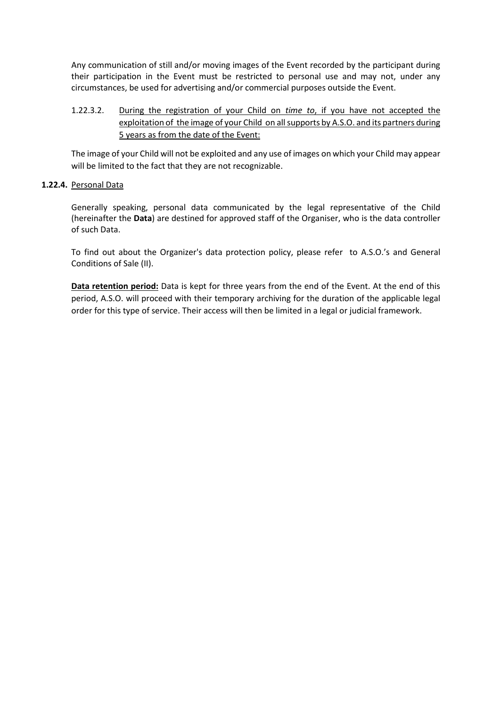Any communication of still and/or moving images of the Event recorded by the participant during their participation in the Event must be restricted to personal use and may not, under any circumstances, be used for advertising and/or commercial purposes outside the Event.

# 1.22.3.2. During the registration of your Child on *time to*, if you have not accepted the exploitation of the image of your Child on all supports by A.S.O. and its partners during 5 years as from the date of the Event:

The image of your Child will not be exploited and any use of images on which your Child may appear will be limited to the fact that they are not recognizable.

# **1.22.4.** Personal Data

Generally speaking, personal data communicated by the legal representative of the Child (hereinafter the **Data**) are destined for approved staff of the Organiser, who is the data controller of such Data.

To find out about the Organizer's data protection policy, please refer to A.S.O.'s and General Conditions of Sale (II).

**Data retention period:** Data is kept for three years from the end of the Event. At the end of this period, A.S.O. will proceed with their temporary archiving for the duration of the applicable legal order for this type of service. Their access will then be limited in a legal or judicial framework.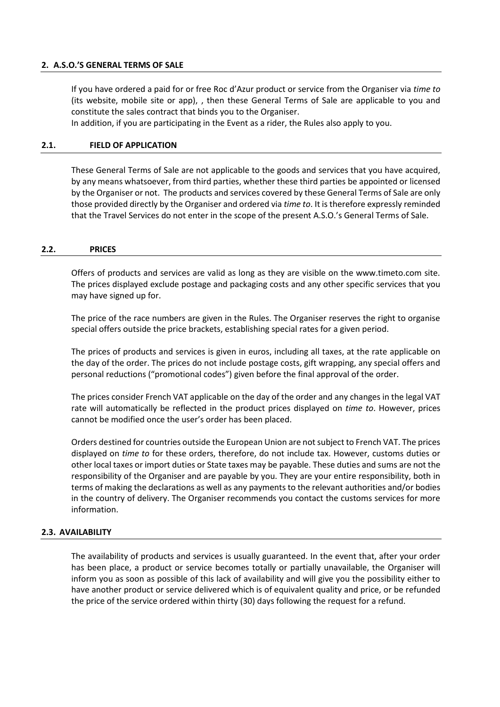## **2. A.S.O.'S GENERAL TERMS OF SALE**

If you have ordered a paid for or free Roc d'Azur product or service from the Organiser via *time to* (its website, mobile site or app), , then these General Terms of Sale are applicable to you and constitute the sales contract that binds you to the Organiser.

In addition, if you are participating in the Event as a rider, the Rules also apply to you.

### **2.1. FIELD OF APPLICATION**

These General Terms of Sale are not applicable to the goods and services that you have acquired, by any means whatsoever, from third parties, whether these third parties be appointed or licensed by the Organiser or not. The products and services covered by these General Terms of Sale are only those provided directly by the Organiser and ordered via *time to*. It is therefore expressly reminded that the Travel Services do not enter in the scope of the present A.S.O.'s General Terms of Sale.

### **2.2. PRICES**

Offers of products and services are valid as long as they are visible on the www.timeto.com site. The prices displayed exclude postage and packaging costs and any other specific services that you may have signed up for.

The price of the race numbers are given in the Rules. The Organiser reserves the right to organise special offers outside the price brackets, establishing special rates for a given period.

The prices of products and services is given in euros, including all taxes, at the rate applicable on the day of the order. The prices do not include postage costs, gift wrapping, any special offers and personal reductions ("promotional codes") given before the final approval of the order.

The prices consider French VAT applicable on the day of the order and any changes in the legal VAT rate will automatically be reflected in the product prices displayed on *time to*. However, prices cannot be modified once the user's order has been placed.

Orders destined for countries outside the European Union are not subject to French VAT. The prices displayed on *time to* for these orders, therefore, do not include tax. However, customs duties or other local taxes or import duties or State taxes may be payable. These duties and sums are not the responsibility of the Organiser and are payable by you. They are your entire responsibility, both in terms of making the declarations as well as any payments to the relevant authorities and/or bodies in the country of delivery. The Organiser recommends you contact the customs services for more information.

### **2.3. AVAILABILITY**

The availability of products and services is usually guaranteed. In the event that, after your order has been place, a product or service becomes totally or partially unavailable, the Organiser will inform you as soon as possible of this lack of availability and will give you the possibility either to have another product or service delivered which is of equivalent quality and price, or be refunded the price of the service ordered within thirty (30) days following the request for a refund.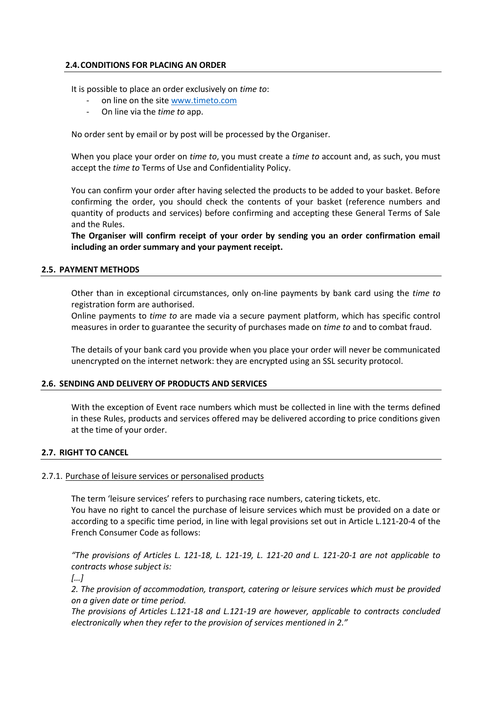## **2.4.CONDITIONS FOR PLACING AN ORDER**

It is possible to place an order exclusively on *time to*:

- on line on the site [www.timeto.com](http://www.timeto.com/)
- On line via the *time to* app.

No order sent by email or by post will be processed by the Organiser.

When you place your order on *time to*, you must create a *time to* account and, as such, you must accept the *time to* Terms of Use and Confidentiality Policy.

You can confirm your order after having selected the products to be added to your basket. Before confirming the order, you should check the contents of your basket (reference numbers and quantity of products and services) before confirming and accepting these General Terms of Sale and the Rules.

**The Organiser will confirm receipt of your order by sending you an order confirmation email including an order summary and your payment receipt.** 

### **2.5. PAYMENT METHODS**

Other than in exceptional circumstances, only on-line payments by bank card using the *time to* registration form are authorised.

Online payments to *time to* are made via a secure payment platform, which has specific control measures in order to guarantee the security of purchases made on *time to* and to combat fraud.

The details of your bank card you provide when you place your order will never be communicated unencrypted on the internet network: they are encrypted using an SSL security protocol.

## **2.6. SENDING AND DELIVERY OF PRODUCTS AND SERVICES**

With the exception of Event race numbers which must be collected in line with the terms defined in these Rules, products and services offered may be delivered according to price conditions given at the time of your order.

## **2.7. RIGHT TO CANCEL**

## 2.7.1. Purchase of leisure services or personalised products

The term 'leisure services' refers to purchasing race numbers, catering tickets, etc. You have no right to cancel the purchase of leisure services which must be provided on a date or according to a specific time period, in line with legal provisions set out in Article L.121-20-4 of the French Consumer Code as follows:

*"The provisions of Articles L. 121-18, L. 121-19, L. 121-20 and L. 121-20-1 are not applicable to contracts whose subject is:*

*[…]*

*2. The provision of accommodation, transport, catering or leisure services which must be provided on a given date or time period.* 

*The provisions of Articles L.121-18 and L.121-19 are however, applicable to contracts concluded electronically when they refer to the provision of services mentioned in 2."*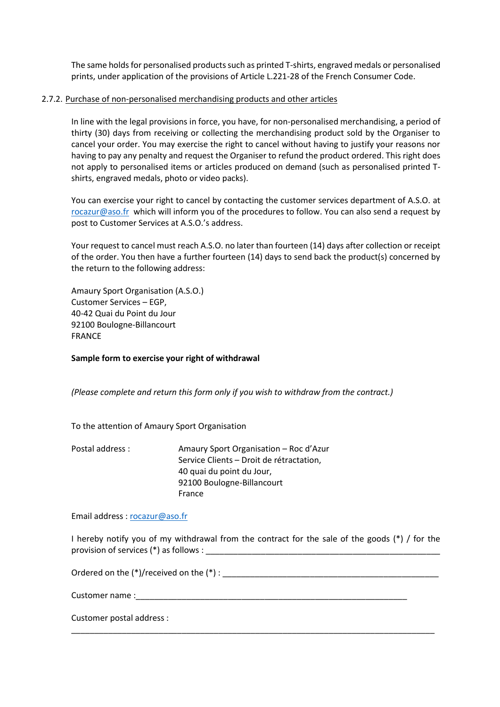The same holds for personalised products such as printed T-shirts, engraved medals or personalised prints, under application of the provisions of Article L.221-28 of the French Consumer Code.

## 2.7.2. Purchase of non-personalised merchandising products and other articles

In line with the legal provisions in force, you have, for non-personalised merchandising, a period of thirty (30) days from receiving or collecting the merchandising product sold by the Organiser to cancel your order. You may exercise the right to cancel without having to justify your reasons nor having to pay any penalty and request the Organiser to refund the product ordered. This right does not apply to personalised items or articles produced on demand (such as personalised printed Tshirts, engraved medals, photo or video packs).

You can exercise your right to cancel by contacting the customer services department of A.S.O. at [rocazur@aso.fr](mailto:rocazur@aso.fr) which will inform you of the procedures to follow. You can also send a request by post to Customer Services at A.S.O.'s address.

Your request to cancel must reach A.S.O. no later than fourteen (14) days after collection or receipt of the order. You then have a further fourteen (14) days to send back the product(s) concerned by the return to the following address:

Amaury Sport Organisation (A.S.O.) Customer Services – EGP, 40-42 Quai du Point du Jour 92100 Boulogne-Billancourt FRANCE

**Sample form to exercise your right of withdrawal**

*(Please complete and return this form only if you wish to withdraw from the contract.)*

To the attention of Amaury Sport Organisation

| Postal address: | Amaury Sport Organisation - Roc d'Azur   |
|-----------------|------------------------------------------|
|                 | Service Clients - Droit de rétractation, |
|                 | 40 quai du point du Jour,                |
|                 | 92100 Boulogne-Billancourt               |
|                 | France                                   |

Email address [: rocazur@aso.fr](mailto:rocazur@aso.fr) 

I hereby notify you of my withdrawal from the contract for the sale of the goods  $(*)$  / for the provision of services (\*) as follows : \_\_\_\_\_\_\_\_\_\_\_\_\_\_\_\_\_\_\_\_\_\_\_\_\_\_\_\_\_\_\_\_\_\_\_\_\_\_\_\_\_\_\_\_\_\_\_\_\_\_\_

\_\_\_\_\_\_\_\_\_\_\_\_\_\_\_\_\_\_\_\_\_\_\_\_\_\_\_\_\_\_\_\_\_\_\_\_\_\_\_\_\_\_\_\_\_\_\_\_\_\_\_\_\_\_\_\_\_\_\_\_\_\_\_\_\_\_\_\_\_\_\_\_\_\_\_\_\_\_\_

Ordered on the (\*)/received on the (\*) : \_\_\_\_\_\_\_\_\_\_\_\_\_\_\_\_\_\_\_\_\_\_\_\_\_\_\_\_\_\_\_\_\_\_\_\_\_\_\_\_\_\_\_\_\_\_\_

Customer name :

Customer postal address :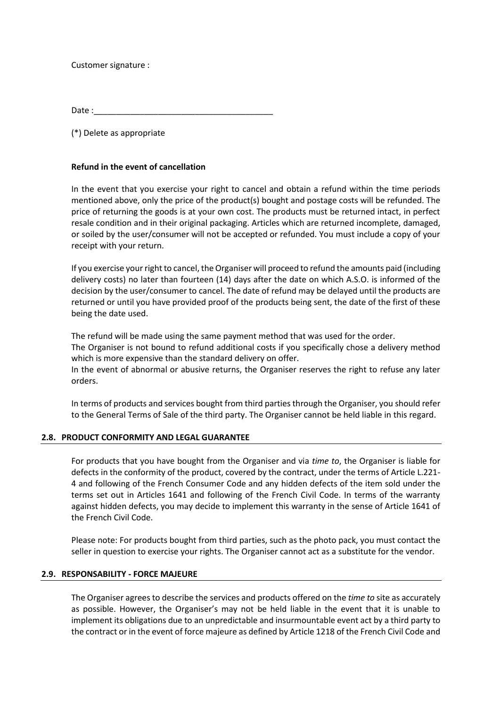Customer signature :

Date :

(\*) Delete as appropriate

## **Refund in the event of cancellation**

In the event that you exercise your right to cancel and obtain a refund within the time periods mentioned above, only the price of the product(s) bought and postage costs will be refunded. The price of returning the goods is at your own cost. The products must be returned intact, in perfect resale condition and in their original packaging. Articles which are returned incomplete, damaged, or soiled by the user/consumer will not be accepted or refunded. You must include a copy of your receipt with your return.

If you exercise your right to cancel, the Organiser will proceed to refund the amounts paid (including delivery costs) no later than fourteen (14) days after the date on which A.S.O. is informed of the decision by the user/consumer to cancel. The date of refund may be delayed until the products are returned or until you have provided proof of the products being sent, the date of the first of these being the date used.

The refund will be made using the same payment method that was used for the order.

The Organiser is not bound to refund additional costs if you specifically chose a delivery method which is more expensive than the standard delivery on offer.

In the event of abnormal or abusive returns, the Organiser reserves the right to refuse any later orders.

In terms of products and services bought from third parties through the Organiser, you should refer to the General Terms of Sale of the third party. The Organiser cannot be held liable in this regard.

## **2.8. PRODUCT CONFORMITY AND LEGAL GUARANTEE**

For products that you have bought from the Organiser and via *time to*, the Organiser is liable for defects in the conformity of the product, covered by the contract, under the terms of Article L.221- 4 and following of the French Consumer Code and any hidden defects of the item sold under the terms set out in Articles 1641 and following of the French Civil Code. In terms of the warranty against hidden defects, you may decide to implement this warranty in the sense of Article 1641 of the French Civil Code.

Please note: For products bought from third parties, such as the photo pack, you must contact the seller in question to exercise your rights. The Organiser cannot act as a substitute for the vendor.

## **2.9. RESPONSABILITY - FORCE MAJEURE**

The Organiser agrees to describe the services and products offered on the *time to* site as accurately as possible. However, the Organiser's may not be held liable in the event that it is unable to implement its obligations due to an unpredictable and insurmountable event act by a third party to the contract or in the event of force majeure as defined by Article 1218 of the French Civil Code and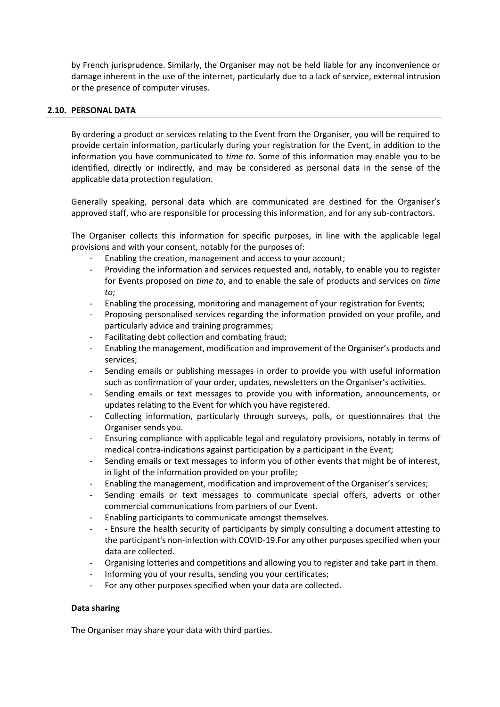by French jurisprudence. Similarly, the Organiser may not be held liable for any inconvenience or damage inherent in the use of the internet, particularly due to a lack of service, external intrusion or the presence of computer viruses.

## **2.10. PERSONAL DATA**

By ordering a product or services relating to the Event from the Organiser, you will be required to provide certain information, particularly during your registration for the Event, in addition to the information you have communicated to *time to*. Some of this information may enable you to be identified, directly or indirectly, and may be considered as personal data in the sense of the applicable data protection regulation.

Generally speaking, personal data which are communicated are destined for the Organiser's approved staff, who are responsible for processing this information, and for any sub-contractors.

The Organiser collects this information for specific purposes, in line with the applicable legal provisions and with your consent, notably for the purposes of:

- Enabling the creation, management and access to your account;
- Providing the information and services requested and, notably, to enable you to register for Events proposed on *time to*, and to enable the sale of products and services on *time to*;
- Enabling the processing, monitoring and management of your registration for Events;
- Proposing personalised services regarding the information provided on your profile, and particularly advice and training programmes;
- Facilitating debt collection and combating fraud;
- Enabling the management, modification and improvement of the Organiser's products and services;
- Sending emails or publishing messages in order to provide you with useful information such as confirmation of your order, updates, newsletters on the Organiser's activities.
- Sending emails or text messages to provide you with information, announcements, or updates relating to the Event for which you have registered.
- Collecting information, particularly through surveys, polls, or questionnaires that the Organiser sends you.
- Ensuring compliance with applicable legal and regulatory provisions, notably in terms of medical contra-indications against participation by a participant in the Event;
- Sending emails or text messages to inform you of other events that might be of interest, in light of the information provided on your profile;
- Enabling the management, modification and improvement of the Organiser's services;
- Sending emails or text messages to communicate special offers, adverts or other commercial communications from partners of our Event.
- Enabling participants to communicate amongst themselves.
- - Ensure the health security of participants by simply consulting a document attesting to the participant's non-infection with COVID-19.For any other purposes specified when your data are collected.
- Organising lotteries and competitions and allowing you to register and take part in them.
- Informing you of your results, sending you your certificates;
- For any other purposes specified when your data are collected.

## **Data sharing**

The Organiser may share your data with third parties.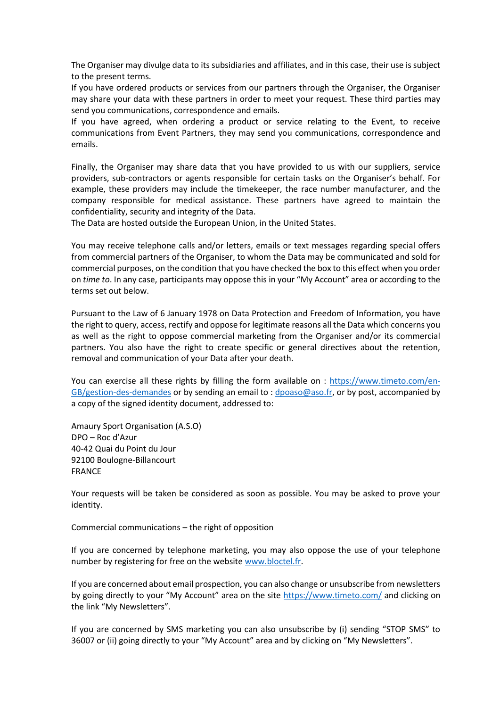The Organiser may divulge data to its subsidiaries and affiliates, and in this case, their use is subject to the present terms.

If you have ordered products or services from our partners through the Organiser, the Organiser may share your data with these partners in order to meet your request. These third parties may send you communications, correspondence and emails.

If you have agreed, when ordering a product or service relating to the Event, to receive communications from Event Partners, they may send you communications, correspondence and emails.

Finally, the Organiser may share data that you have provided to us with our suppliers, service providers, sub-contractors or agents responsible for certain tasks on the Organiser's behalf. For example, these providers may include the timekeeper, the race number manufacturer, and the company responsible for medical assistance. These partners have agreed to maintain the confidentiality, security and integrity of the Data.

The Data are hosted outside the European Union, in the United States.

You may receive telephone calls and/or letters, emails or text messages regarding special offers from commercial partners of the Organiser, to whom the Data may be communicated and sold for commercial purposes, on the condition that you have checked the box to this effect when you order on *time to*. In any case, participants may oppose this in your "My Account" area or according to the terms set out below.

Pursuant to the Law of 6 January 1978 on Data Protection and Freedom of Information, you have the right to query, access, rectify and oppose for legitimate reasons all the Data which concerns you as well as the right to oppose commercial marketing from the Organiser and/or its commercial partners. You also have the right to create specific or general directives about the retention, removal and communication of your Data after your death.

You can exercise all these rights by filling the form available on : [https://www.timeto.com/en-](https://www.timeto.com/en-GB/gestion-des-demandes)[GB/gestion-des-demandes](https://www.timeto.com/en-GB/gestion-des-demandes) or by sending an email to [: dpoaso@aso.fr,](mailto:dpoaso@aso.fr) or by post, accompanied by a copy of the signed identity document, addressed to:

Amaury Sport Organisation (A.S.O) DPO – Roc d'Azur 40-42 Quai du Point du Jour 92100 Boulogne-Billancourt FRANCE

Your requests will be taken be considered as soon as possible. You may be asked to prove your identity.

Commercial communications – the right of opposition

If you are concerned by telephone marketing, you may also oppose the use of your telephone number by registering for free on the website [www.bloctel.fr.](http://www.bloctel.fr/)

If you are concerned about email prospection, you can also change or unsubscribe from newsletters by going directly to your "My Account" area on the site <https://www.timeto.com/> and clicking on the link "My Newsletters".

If you are concerned by SMS marketing you can also unsubscribe by (i) sending "STOP SMS" to 36007 or (ii) going directly to your "My Account" area and by clicking on "My Newsletters".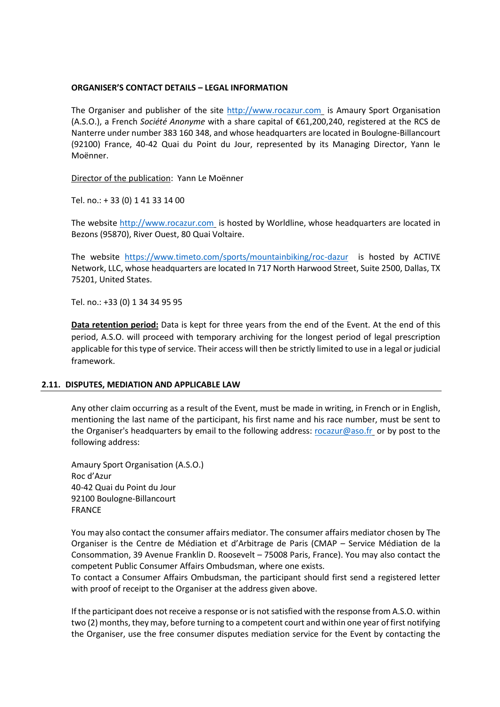## **ORGANISER'S CONTACT DETAILS – LEGAL INFORMATION**

The Organiser and publisher of the site [http://www.rocazur.com](http://www.rocazur.com/) is Amaury Sport Organisation (A.S.O.), a French *Société Anonyme* with a share capital of €61,200,240, registered at the RCS de Nanterre under number 383 160 348, and whose headquarters are located in Boulogne-Billancourt (92100) France, 40-42 Quai du Point du Jour, represented by its Managing Director, Yann le Moënner.

Director of the publication: Yann Le Moënner

Tel. no.: + 33 (0) 1 41 33 14 00

The website [http://www.rocazur.com](http://www.rocazur.com/) is hosted by Worldline, whose headquarters are located in Bezons (95870), River Ouest, 80 Quai Voltaire.

The website <https://www.timeto.com/sports/mountainbiking/roc-dazur> is hosted by ACTIVE Network, LLC, whose headquarters are located In 717 North Harwood Street, Suite 2500, Dallas, TX 75201, United States.

Tel. no.: +33 (0) 1 34 34 95 95

**Data retention period:** Data is kept for three years from the end of the Event. At the end of this period, A.S.O. will proceed with temporary archiving for the longest period of legal prescription applicable for this type of service. Their access will then be strictly limited to use in a legal or judicial framework.

### **2.11. DISPUTES, MEDIATION AND APPLICABLE LAW**

Any other claim occurring as a result of the Event, must be made in writing, in French or in English, mentioning the last name of the participant, his first name and his race number, must be sent to the Organiser's headquarters by email to the following address: [rocazur@aso.fr](mailto:rocazur@aso.fr) or by post to the following address:

Amaury Sport Organisation (A.S.O.) Roc d'Azur 40-42 Quai du Point du Jour 92100 Boulogne-Billancourt FRANCE

You may also contact the consumer affairs mediator. The consumer affairs mediator chosen by The Organiser is the Centre de Médiation et d'Arbitrage de Paris (CMAP – Service Médiation de la Consommation, 39 Avenue Franklin D. Roosevelt – 75008 Paris, France). You may also contact the competent Public Consumer Affairs Ombudsman, where one exists.

To contact a Consumer Affairs Ombudsman, the participant should first send a registered letter with proof of receipt to the Organiser at the address given above.

If the participant does not receive a response or is not satisfied with the response from A.S.O. within two (2) months, they may, before turning to a competent court and within one year of first notifying the Organiser, use the free consumer disputes mediation service for the Event by contacting the